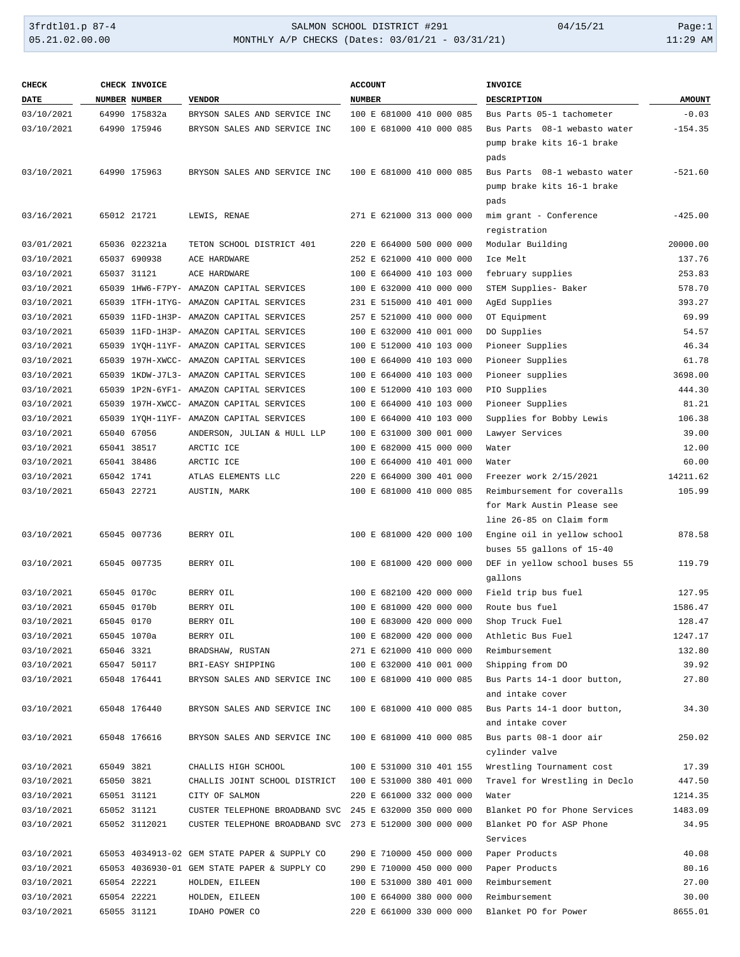## 3frdtl01.p 87-4 SALMON SCHOOL DISTRICT #291 04/15/21 Page:1 05.21.02.00.00 MONTHLY A/P CHECKS (Dates: 03/01/21 - 03/31/21) 11:29 AM

| <b>CHECK</b> |            | CHECK INVOICE |                                                         | <b>ACCOUNT</b>           | <b>INVOICE</b>                |               |
|--------------|------------|---------------|---------------------------------------------------------|--------------------------|-------------------------------|---------------|
| DATE         |            | NUMBER NUMBER | <b>VENDOR</b>                                           | <b>NUMBER</b>            | <b>DESCRIPTION</b>            | <b>AMOUNT</b> |
| 03/10/2021   |            | 64990 175832a | BRYSON SALES AND SERVICE INC                            | 100 E 681000 410 000 085 | Bus Parts 05-1 tachometer     | $-0.03$       |
| 03/10/2021   |            | 64990 175946  | BRYSON SALES AND SERVICE INC                            | 100 E 681000 410 000 085 | Bus Parts 08-1 webasto water  | $-154.35$     |
|              |            |               |                                                         |                          | pump brake kits 16-1 brake    |               |
|              |            |               |                                                         |                          | pads                          |               |
| 03/10/2021   |            | 64990 175963  | BRYSON SALES AND SERVICE INC                            | 100 E 681000 410 000 085 | Bus Parts 08-1 webasto water  | $-521.60$     |
|              |            |               |                                                         |                          | pump brake kits 16-1 brake    |               |
|              |            |               |                                                         |                          | pads                          |               |
| 03/16/2021   |            | 65012 21721   | LEWIS, RENAE                                            | 271 E 621000 313 000 000 | mim grant - Conference        | $-425.00$     |
|              |            |               |                                                         |                          | registration                  |               |
| 03/01/2021   |            | 65036 022321a | TETON SCHOOL DISTRICT 401                               | 220 E 664000 500 000 000 | Modular Building              | 20000.00      |
| 03/10/2021   |            | 65037 690938  | ACE HARDWARE                                            | 252 E 621000 410 000 000 | Ice Melt                      | 137.76        |
| 03/10/2021   |            | 65037 31121   | ACE HARDWARE                                            | 100 E 664000 410 103 000 | february supplies             | 253.83        |
| 03/10/2021   |            |               | 65039 1HW6-F7PY- AMAZON CAPITAL SERVICES                | 100 E 632000 410 000 000 | STEM Supplies- Baker          | 578.70        |
| 03/10/2021   |            |               | 65039 1TFH-1TYG- AMAZON CAPITAL SERVICES                | 231 E 515000 410 401 000 | AgEd Supplies                 | 393.27        |
| 03/10/2021   |            |               | 65039 11FD-1H3P- AMAZON CAPITAL SERVICES                | 257 E 521000 410 000 000 | OT Equipment                  | 69.99         |
| 03/10/2021   |            |               | 65039 11FD-1H3P- AMAZON CAPITAL SERVICES                | 100 E 632000 410 001 000 | DO Supplies                   | 54.57         |
| 03/10/2021   |            |               | 65039 1YQH-11YF- AMAZON CAPITAL SERVICES                | 100 E 512000 410 103 000 | Pioneer Supplies              | 46.34         |
| 03/10/2021   |            |               | 65039 197H-XWCC- AMAZON CAPITAL SERVICES                | 100 E 664000 410 103 000 | Pioneer Supplies              | 61.78         |
| 03/10/2021   |            |               | 65039 1KDW-J7L3- AMAZON CAPITAL SERVICES                | 100 E 664000 410 103 000 | Pioneer supplies              | 3698.00       |
| 03/10/2021   |            |               | 65039 1P2N-6YF1- AMAZON CAPITAL SERVICES                | 100 E 512000 410 103 000 | PIO Supplies                  | 444.30        |
| 03/10/2021   |            |               | 65039 197H-XWCC- AMAZON CAPITAL SERVICES                | 100 E 664000 410 103 000 | Pioneer Supplies              | 81.21         |
| 03/10/2021   |            |               | 65039 1YQH-11YF- AMAZON CAPITAL SERVICES                | 100 E 664000 410 103 000 | Supplies for Bobby Lewis      | 106.38        |
| 03/10/2021   |            | 65040 67056   | ANDERSON, JULIAN & HULL LLP                             | 100 E 631000 300 001 000 | Lawyer Services               | 39.00         |
| 03/10/2021   |            | 65041 38517   | ARCTIC ICE                                              | 100 E 682000 415 000 000 | Water                         | 12.00         |
| 03/10/2021   |            | 65041 38486   | ARCTIC ICE                                              | 100 E 664000 410 401 000 | Water                         | 60.00         |
| 03/10/2021   | 65042 1741 |               | ATLAS ELEMENTS LLC                                      | 220 E 664000 300 401 000 | Freezer work 2/15/2021        | 14211.62      |
| 03/10/2021   |            | 65043 22721   | AUSTIN, MARK                                            | 100 E 681000 410 000 085 | Reimbursement for coveralls   | 105.99        |
|              |            |               |                                                         |                          | for Mark Austin Please see    |               |
|              |            |               |                                                         |                          | line 26-85 on Claim form      |               |
| 03/10/2021   |            | 65045 007736  | BERRY OIL                                               | 100 E 681000 420 000 100 | Engine oil in yellow school   | 878.58        |
|              |            |               |                                                         |                          | buses 55 gallons of 15-40     |               |
| 03/10/2021   |            | 65045 007735  | BERRY OIL                                               | 100 E 681000 420 000 000 | DEF in yellow school buses 55 | 119.79        |
|              |            |               |                                                         |                          | gallons                       |               |
| 03/10/2021   |            | 65045 0170c   | BERRY OIL                                               | 100 E 682100 420 000 000 | Field trip bus fuel           | 127.95        |
| 03/10/2021   |            | 65045 0170b   | BERRY OIL                                               | 100 E 681000 420 000 000 | Route bus fuel                | 1586.47       |
| 03/10/2021   | 65045 0170 |               | BERRY OIL                                               | 100 E 683000 420 000 000 | Shop Truck Fuel               | 128.47        |
| 03/10/2021   |            | 65045 1070a   | BERRY OIL                                               | 100 E 682000 420 000 000 | Athletic Bus Fuel             | 1247.17       |
| 03/10/2021   | 65046 3321 |               | BRADSHAW, RUSTAN                                        | 271 E 621000 410 000 000 | Reimbursement                 | 132.80        |
| 03/10/2021   |            | 65047 50117   | BRI-EASY SHIPPING                                       | 100 E 632000 410 001 000 | Shipping from DO              | 39.92         |
| 03/10/2021   |            | 65048 176441  | BRYSON SALES AND SERVICE INC                            | 100 E 681000 410 000 085 | Bus Parts 14-1 door button,   | 27.80         |
|              |            |               |                                                         |                          | and intake cover              |               |
| 03/10/2021   |            | 65048 176440  | BRYSON SALES AND SERVICE INC                            | 100 E 681000 410 000 085 | Bus Parts 14-1 door button,   | 34.30         |
|              |            |               |                                                         |                          | and intake cover              |               |
| 03/10/2021   |            | 65048 176616  | BRYSON SALES AND SERVICE INC                            | 100 E 681000 410 000 085 | Bus parts 08-1 door air       | 250.02        |
|              |            |               |                                                         |                          | cylinder valve                |               |
| 03/10/2021   | 65049 3821 |               | CHALLIS HIGH SCHOOL                                     | 100 E 531000 310 401 155 | Wrestling Tournament cost     | 17.39         |
| 03/10/2021   | 65050 3821 |               | CHALLIS JOINT SCHOOL DISTRICT                           | 100 E 531000 380 401 000 | Travel for Wrestling in Declo | 447.50        |
| 03/10/2021   |            | 65051 31121   | CITY OF SALMON                                          | 220 E 661000 332 000 000 | Water                         | 1214.35       |
| 03/10/2021   |            | 65052 31121   | CUSTER TELEPHONE BROADBAND SVC                          | 245 E 632000 350 000 000 | Blanket PO for Phone Services | 1483.09       |
| 03/10/2021   |            | 65052 3112021 | CUSTER TELEPHONE BROADBAND SVC 273 E 512000 300 000 000 |                          | Blanket PO for ASP Phone      | 34.95         |
|              |            |               |                                                         |                          | Services                      |               |
| 03/10/2021   |            |               | 65053 4034913-02 GEM STATE PAPER & SUPPLY CO            | 290 E 710000 450 000 000 | Paper Products                | 40.08         |
| 03/10/2021   |            |               | 65053 4036930-01 GEM STATE PAPER & SUPPLY CO            | 290 E 710000 450 000 000 | Paper Products                | 80.16         |
| 03/10/2021   |            | 65054 22221   | HOLDEN, EILEEN                                          | 100 E 531000 380 401 000 | Reimbursement                 | 27.00         |
| 03/10/2021   |            | 65054 22221   | HOLDEN, EILEEN                                          | 100 E 664000 380 000 000 | Reimbursement                 | 30.00         |
| 03/10/2021   |            | 65055 31121   | IDAHO POWER CO                                          | 220 E 661000 330 000 000 | Blanket PO for Power          | 8655.01       |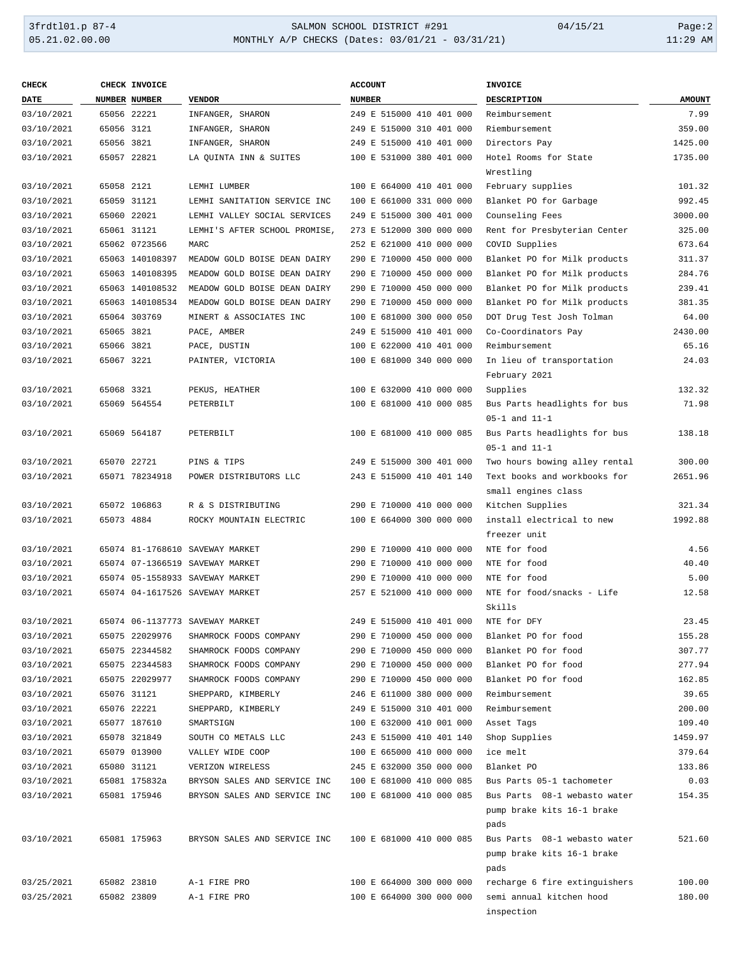# 3frdtl01.p 87-4 <br>
35.21.02.00.00 <br>
35.21.02.00.00 <br>
35.21.02.00.00 <br>
35.21.02.00.00 <br>
35.21.02.00.00 <br>
36.21.02.00.00 <br>
36.21.02.00.00 <br>
36.21.02.00.00 <br>
36.21.02.00.00 <br>
36.21.02.00.00 <br>
36.21.02.00.00 <br>
36.21.02.00.00 <br> MONTHLY A/P CHECKS (Dates: 03/01/21 - 03/31/21)

| <b>CHECK</b> |            | CHECK INVOICE   |                                 | <b>ACCOUNT</b>           | <b>INVOICE</b>                |               |
|--------------|------------|-----------------|---------------------------------|--------------------------|-------------------------------|---------------|
| <b>DATE</b>  |            | NUMBER NUMBER   | <b>VENDOR</b>                   | <b>NUMBER</b>            | <b>DESCRIPTION</b>            | <b>AMOUNT</b> |
| 03/10/2021   |            | 65056 22221     | INFANGER, SHARON                | 249 E 515000 410 401 000 | Reimbursement                 | 7.99          |
| 03/10/2021   | 65056 3121 |                 | INFANGER, SHARON                | 249 E 515000 310 401 000 | Riembursement                 | 359.00        |
| 03/10/2021   | 65056 3821 |                 | INFANGER, SHARON                | 249 E 515000 410 401 000 | Directors Pay                 | 1425.00       |
| 03/10/2021   |            | 65057 22821     | LA OUINTA INN & SUITES          | 100 E 531000 380 401 000 | Hotel Rooms for State         | 1735.00       |
|              |            |                 |                                 |                          | Wrestling                     |               |
| 03/10/2021   | 65058 2121 |                 | LEMHI LUMBER                    | 100 E 664000 410 401 000 | February supplies             | 101.32        |
| 03/10/2021   |            | 65059 31121     | LEMHI SANITATION SERVICE INC    | 100 E 661000 331 000 000 | Blanket PO for Garbage        | 992.45        |
| 03/10/2021   |            | 65060 22021     | LEMHI VALLEY SOCIAL SERVICES    | 249 E 515000 300 401 000 | Counseling Fees               | 3000.00       |
| 03/10/2021   |            | 65061 31121     | LEMHI'S AFTER SCHOOL PROMISE.   | 273 E 512000 300 000 000 | Rent for Presbyterian Center  | 325.00        |
| 03/10/2021   |            | 65062 0723566   | MARC                            | 252 E 621000 410 000 000 | COVID Supplies                | 673.64        |
| 03/10/2021   |            | 65063 140108397 | MEADOW GOLD BOISE DEAN DAIRY    | 290 E 710000 450 000 000 | Blanket PO for Milk products  | 311.37        |
| 03/10/2021   |            | 65063 140108395 | MEADOW GOLD BOISE DEAN DAIRY    | 290 E 710000 450 000 000 | Blanket PO for Milk products  | 284.76        |
| 03/10/2021   |            | 65063 140108532 | MEADOW GOLD BOISE DEAN DAIRY    | 290 E 710000 450 000 000 | Blanket PO for Milk products  | 239.41        |
| 03/10/2021   |            | 65063 140108534 | MEADOW GOLD BOISE DEAN DAIRY    | 290 E 710000 450 000 000 | Blanket PO for Milk products  | 381.35        |
| 03/10/2021   |            | 65064 303769    | MINERT & ASSOCIATES INC         | 100 E 681000 300 000 050 | DOT Drug Test Josh Tolman     | 64.00         |
| 03/10/2021   | 65065 3821 |                 | PACE, AMBER                     | 249 E 515000 410 401 000 | Co-Coordinators Pay           | 2430.00       |
| 03/10/2021   | 65066 3821 |                 | PACE, DUSTIN                    | 100 E 622000 410 401 000 | Reimbursement                 | 65.16         |
| 03/10/2021   | 65067 3221 |                 | PAINTER, VICTORIA               | 100 E 681000 340 000 000 | In lieu of transportation     | 24.03         |
|              |            |                 |                                 |                          | February 2021                 |               |
| 03/10/2021   | 65068 3321 |                 | PEKUS, HEATHER                  | 100 E 632000 410 000 000 | Supplies                      | 132.32        |
| 03/10/2021   |            | 65069 564554    | PETERBILT                       | 100 E 681000 410 000 085 | Bus Parts headlights for bus  | 71.98         |
|              |            |                 |                                 |                          | $05-1$ and $11-1$             |               |
| 03/10/2021   |            | 65069 564187    | PETERBILT                       | 100 E 681000 410 000 085 | Bus Parts headlights for bus  | 138.18        |
|              |            |                 |                                 |                          | $05-1$ and $11-1$             |               |
| 03/10/2021   |            | 65070 22721     | PINS & TIPS                     | 249 E 515000 300 401 000 | Two hours bowing alley rental | 300.00        |
| 03/10/2021   |            | 65071 78234918  | POWER DISTRIBUTORS LLC          | 243 E 515000 410 401 140 | Text books and workbooks for  | 2651.96       |
|              |            |                 |                                 |                          | small engines class           |               |
| 03/10/2021   |            | 65072 106863    | R & S DISTRIBUTING              | 290 E 710000 410 000 000 | Kitchen Supplies              | 321.34        |
| 03/10/2021   | 65073 4884 |                 | ROCKY MOUNTAIN ELECTRIC         | 100 E 664000 300 000 000 | install electrical to new     | 1992.88       |
|              |            |                 |                                 |                          | freezer unit                  |               |
| 03/10/2021   |            |                 | 65074 81-1768610 SAVEWAY MARKET | 290 E 710000 410 000 000 | NTE for food                  | 4.56          |
| 03/10/2021   |            |                 | 65074 07-1366519 SAVEWAY MARKET | 290 E 710000 410 000 000 | NTE for food                  | 40.40         |
| 03/10/2021   |            |                 | 65074 05-1558933 SAVEWAY MARKET | 290 E 710000 410 000 000 | NTE for food                  | 5.00          |
| 03/10/2021   |            |                 | 65074 04-1617526 SAVEWAY MARKET | 257 E 521000 410 000 000 | NTE for food/snacks - Life    | 12.58         |
|              |            |                 |                                 |                          | Skills                        |               |
| 03/10/2021   |            |                 | 65074 06-1137773 SAVEWAY MARKET | 249 E 515000 410 401 000 | NTE for DFY                   | 23.45         |
| 03/10/2021   |            | 65075 22029976  | SHAMROCK FOODS COMPANY          | 290 E 710000 450 000 000 | Blanket PO for food           | 155.28        |
| 03/10/2021   |            | 65075 22344582  | SHAMROCK FOODS COMPANY          | 290 E 710000 450 000 000 | Blanket PO for food           | 307.77        |
| 03/10/2021   |            | 65075 22344583  | SHAMROCK FOODS COMPANY          | 290 E 710000 450 000 000 | Blanket PO for food           | 277.94        |
| 03/10/2021   |            | 65075 22029977  | SHAMROCK FOODS COMPANY          | 290 E 710000 450 000 000 | Blanket PO for food           | 162.85        |
| 03/10/2021   |            | 65076 31121     | SHEPPARD, KIMBERLY              | 246 E 611000 380 000 000 | Reimbursement                 | 39.65         |
| 03/10/2021   |            | 65076 22221     | SHEPPARD, KIMBERLY              | 249 E 515000 310 401 000 | Reimbursement                 | 200.00        |
| 03/10/2021   |            | 65077 187610    | SMARTSIGN                       | 100 E 632000 410 001 000 | Asset Tags                    | 109.40        |
| 03/10/2021   |            | 65078 321849    | SOUTH CO METALS LLC             | 243 E 515000 410 401 140 | Shop Supplies                 | 1459.97       |
| 03/10/2021   |            | 65079 013900    | VALLEY WIDE COOP                | 100 E 665000 410 000 000 | ice melt                      | 379.64        |
| 03/10/2021   |            | 65080 31121     | VERIZON WIRELESS                | 245 E 632000 350 000 000 | Blanket PO                    | 133.86        |
| 03/10/2021   |            | 65081 175832a   | BRYSON SALES AND SERVICE INC    | 100 E 681000 410 000 085 | Bus Parts 05-1 tachometer     | 0.03          |
| 03/10/2021   |            | 65081 175946    | BRYSON SALES AND SERVICE INC    | 100 E 681000 410 000 085 | Bus Parts 08-1 webasto water  | 154.35        |
|              |            |                 |                                 |                          | pump brake kits 16-1 brake    |               |
|              |            |                 |                                 |                          | pads                          |               |
| 03/10/2021   |            | 65081 175963    | BRYSON SALES AND SERVICE INC    | 100 E 681000 410 000 085 | Bus Parts 08-1 webasto water  | 521.60        |
|              |            |                 |                                 |                          | pump brake kits 16-1 brake    |               |
|              |            |                 |                                 |                          | pads                          |               |
| 03/25/2021   |            | 65082 23810     | A-1 FIRE PRO                    | 100 E 664000 300 000 000 | recharge 6 fire extinguishers | 100.00        |
| 03/25/2021   |            | 65082 23809     | A-1 FIRE PRO                    | 100 E 664000 300 000 000 | semi annual kitchen hood      | 180.00        |
|              |            |                 |                                 |                          | inspection                    |               |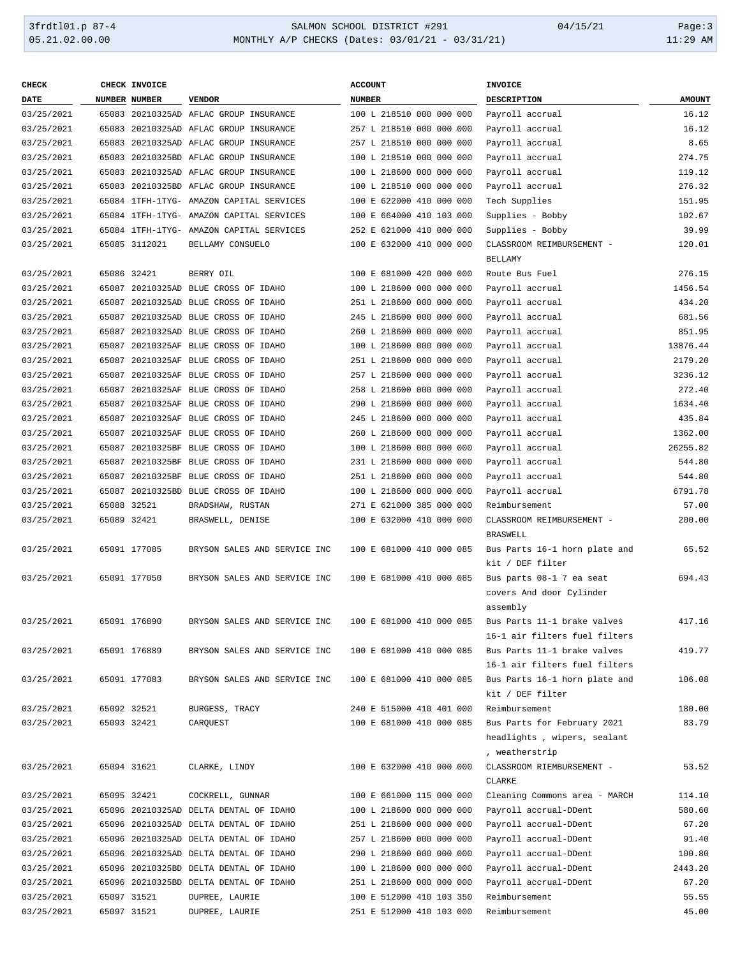#### 3frdtl01.p 87-4 SALMON SCHOOL DISTRICT #291 04/15/21 Page:3 05.21.02.00.00 MONTHLY A/P CHECKS (Dates: 03/01/21 - 03/31/21) 11:29 AM

| <b>DATE</b><br>NUMBER NUMBER<br><b>VENDOR</b><br><b>NUMBER</b><br><b>DESCRIPTION</b><br><b>AMOUNT</b><br>03/25/2021<br>65083 20210325AD AFLAC GROUP INSURANCE<br>16.12<br>100 L 218510 000 000 000<br>Payroll accrual<br>16.12<br>03/25/2021<br>65083 20210325AD AFLAC GROUP INSURANCE<br>257 L 218510 000 000 000<br>Payroll accrual<br>Payroll accrual<br>8.65<br>03/25/2021<br>65083 20210325AD AFLAC GROUP INSURANCE<br>257 L 218510 000 000 000<br>Payroll accrual<br>274.75<br>03/25/2021<br>65083 20210325BD AFLAC GROUP INSURANCE<br>100 L 218510 000 000 000<br>119.12<br>03/25/2021<br>65083 20210325AD AFLAC GROUP INSURANCE<br>100 L 218600 000 000 000<br>Payroll accrual<br>276.32<br>03/25/2021<br>65083 20210325BD AFLAC GROUP INSURANCE<br>100 L 218510 000 000 000<br>Payroll accrual<br>Tech Supplies<br>03/25/2021<br>65084 1TFH-1TYG- AMAZON CAPITAL SERVICES<br>100 E 622000 410 000 000<br>151.95<br>102.67<br>03/25/2021<br>65084 1TFH-1TYG- AMAZON CAPITAL SERVICES<br>100 E 664000 410 103 000<br>Supplies - Bobby<br>03/25/2021<br>65084 1TFH-1TYG- AMAZON CAPITAL SERVICES<br>252 E 621000 410 000 000<br>Supplies - Bobby<br>39.99<br>03/25/2021<br>65085 3112021<br>BELLAMY CONSUELO<br>100 E 632000 410 000 000<br>CLASSROOM REIMBURSEMENT -<br>120.01<br><b>BELLAMY</b><br>03/25/2021<br>65086 32421<br>BERRY OIL<br>100 E 681000 420 000 000<br>Route Bus Fuel<br>276.15<br>1456.54<br>03/25/2021<br>65087 20210325AD BLUE CROSS OF IDAHO<br>100 L 218600 000 000 000<br>Payroll accrual<br>434.20<br>03/25/2021<br>65087 20210325AD BLUE CROSS OF IDAHO<br>251 L 218600 000 000 000<br>Payroll accrual<br>681.56<br>03/25/2021<br>65087 20210325AD BLUE CROSS OF IDAHO<br>245 L 218600 000 000 000<br>Payroll accrual<br>851.95<br>03/25/2021<br>65087 20210325AD BLUE CROSS OF IDAHO<br>260 L 218600 000 000 000<br>Payroll accrual<br>13876.44<br>03/25/2021<br>65087 20210325AF BLUE CROSS OF IDAHO<br>100 L 218600 000 000 000<br>Payroll accrual<br>Payroll accrual<br>2179.20<br>03/25/2021<br>65087 20210325AF BLUE CROSS OF IDAHO<br>251 L 218600 000 000 000<br>Payroll accrual<br>3236.12<br>03/25/2021<br>65087 20210325AF BLUE CROSS OF IDAHO<br>257 L 218600 000 000 000<br>Payroll accrual<br>272.40<br>03/25/2021<br>65087 20210325AF BLUE CROSS OF IDAHO<br>258 L 218600 000 000 000<br>1634.40<br>03/25/2021<br>65087 20210325AF BLUE CROSS OF IDAHO<br>290 L 218600 000 000 000<br>Payroll accrual<br>435.84<br>03/25/2021<br>65087 20210325AF BLUE CROSS OF IDAHO<br>245 L 218600 000 000 000<br>Payroll accrual<br>1362.00<br>03/25/2021<br>65087 20210325AF BLUE CROSS OF IDAHO<br>260 L 218600 000 000 000<br>Payroll accrual<br>26255.82<br>03/25/2021<br>65087 20210325BF BLUE CROSS OF IDAHO<br>100 L 218600 000 000 000<br>Payroll accrual<br>544.80<br>03/25/2021<br>65087 20210325BF BLUE CROSS OF IDAHO<br>231 L 218600 000 000 000<br>Payroll accrual<br>544.80<br>03/25/2021<br>65087 20210325BF BLUE CROSS OF IDAHO<br>251 L 218600 000 000 000<br>Payroll accrual<br>6791.78<br>03/25/2021<br>65087 20210325BD BLUE CROSS OF IDAHO<br>100 L 218600 000 000 000<br>Payroll accrual<br>57.00<br>03/25/2021<br>65088 32521<br>BRADSHAW, RUSTAN<br>271 E 621000 385 000 000<br>Reimbursement<br>03/25/2021<br>65089 32421<br>BRASWELL, DENISE<br>100 E 632000 410 000 000<br>CLASSROOM REIMBURSEMENT -<br>200.00<br><b>BRASWELL</b><br>03/25/2021<br>65091 177085<br>BRYSON SALES AND SERVICE INC<br>100 E 681000 410 000 085<br>Bus Parts 16-1 horn plate and<br>65.52<br>kit / DEF filter<br>03/25/2021<br>65091 177050<br>BRYSON SALES AND SERVICE INC<br>100 E 681000 410 000 085<br>Bus parts 08-1 7 ea seat<br>694.43<br>covers And door Cylinder<br>assembly<br>03/25/2021<br>65091 176890<br>BRYSON SALES AND SERVICE INC 100 E 681000 410 000 085<br>417.16<br>Bus Parts 11-1 brake valves<br>16-1 air filters fuel filters<br>419.77<br>03/25/2021<br>65091 176889<br>BRYSON SALES AND SERVICE INC<br>100 E 681000 410 000 085<br>Bus Parts 11-1 brake valves<br>16-1 air filters fuel filters<br>03/25/2021<br>65091 177083<br>BRYSON SALES AND SERVICE INC<br>100 E 681000 410 000 085<br>Bus Parts 16-1 horn plate and<br>106.08<br>kit / DEF filter<br>180.00<br>03/25/2021<br>65092 32521<br>BURGESS, TRACY<br>240 E 515000 410 401 000<br>Reimbursement<br>83.79<br>03/25/2021<br>65093 32421<br>CARQUEST<br>100 E 681000 410 000 085<br>Bus Parts for February 2021<br>headlights, wipers, sealant<br>, weatherstrip<br>CLASSROOM RIEMBURSEMENT -<br>53.52<br>03/25/2021<br>65094 31621<br>CLARKE, LINDY<br>100 E 632000 410 000 000<br>CLARKE<br>100 E 661000 115 000 000<br>Cleaning Commons area - MARCH<br>03/25/2021<br>65095 32421<br>COCKRELL, GUNNAR<br>114.10<br>65096 20210325AD DELTA DENTAL OF IDAHO<br>Payroll accrual-DDent<br>580.60<br>03/25/2021<br>100 L 218600 000 000 000<br>65096 20210325AD DELTA DENTAL OF IDAHO<br>251 L 218600 000 000 000<br>Payroll accrual-DDent<br>67.20<br>03/25/2021<br>65096 20210325AD DELTA DENTAL OF IDAHO<br>257 L 218600 000 000 000<br>Payroll accrual-DDent<br>03/25/2021<br>91.40<br>Payroll accrual-DDent<br>03/25/2021<br>65096 20210325AD DELTA DENTAL OF IDAHO<br>290 L 218600 000 000 000<br>100.80<br>Payroll accrual-DDent<br>03/25/2021<br>65096 20210325BD DELTA DENTAL OF IDAHO<br>100 L 218600 000 000 000<br>2443.20<br>67.20<br>03/25/2021<br>65096 20210325BD DELTA DENTAL OF IDAHO<br>251 L 218600 000 000 000<br>Payroll accrual-DDent<br>03/25/2021<br>65097 31521<br>DUPREE, LAURIE<br>100 E 512000 410 103 350<br>Reimbursement<br>55.55<br>45.00<br>03/25/2021<br>65097 31521<br>DUPREE, LAURIE<br>251 E 512000 410 103 000<br>Reimbursement | <b>CHECK</b> | CHECK INVOICE | <b>ACCOUNT</b> | <b>INVOICE</b> |  |
|----------------------------------------------------------------------------------------------------------------------------------------------------------------------------------------------------------------------------------------------------------------------------------------------------------------------------------------------------------------------------------------------------------------------------------------------------------------------------------------------------------------------------------------------------------------------------------------------------------------------------------------------------------------------------------------------------------------------------------------------------------------------------------------------------------------------------------------------------------------------------------------------------------------------------------------------------------------------------------------------------------------------------------------------------------------------------------------------------------------------------------------------------------------------------------------------------------------------------------------------------------------------------------------------------------------------------------------------------------------------------------------------------------------------------------------------------------------------------------------------------------------------------------------------------------------------------------------------------------------------------------------------------------------------------------------------------------------------------------------------------------------------------------------------------------------------------------------------------------------------------------------------------------------------------------------------------------------------------------------------------------------------------------------------------------------------------------------------------------------------------------------------------------------------------------------------------------------------------------------------------------------------------------------------------------------------------------------------------------------------------------------------------------------------------------------------------------------------------------------------------------------------------------------------------------------------------------------------------------------------------------------------------------------------------------------------------------------------------------------------------------------------------------------------------------------------------------------------------------------------------------------------------------------------------------------------------------------------------------------------------------------------------------------------------------------------------------------------------------------------------------------------------------------------------------------------------------------------------------------------------------------------------------------------------------------------------------------------------------------------------------------------------------------------------------------------------------------------------------------------------------------------------------------------------------------------------------------------------------------------------------------------------------------------------------------------------------------------------------------------------------------------------------------------------------------------------------------------------------------------------------------------------------------------------------------------------------------------------------------------------------------------------------------------------------------------------------------------------------------------------------------------------------------------------------------------------------------------------------------------------------------------------------------------------------------------------------------------------------------------------------------------------------------------------------------------------------------------------------------------------------------------------------------------------------------------------------------------------------------------------------------------------------------------------------------------------------------------------------------------------------------------------------------------------------------------------------------------------------------------------------------------------------------------------------------------------------------------------------------------------------------------------------------------------------------------------------------------------------------------------------------------------------------------------------------------------------------------------------------------------------------------------------------------------------------------------------------------------------------------------------------------------------------------------------------------------------------------------------------------------------------------------------------------------------------------------------------------------------------------------------------------------------------------------------------------------------|--------------|---------------|----------------|----------------|--|
|                                                                                                                                                                                                                                                                                                                                                                                                                                                                                                                                                                                                                                                                                                                                                                                                                                                                                                                                                                                                                                                                                                                                                                                                                                                                                                                                                                                                                                                                                                                                                                                                                                                                                                                                                                                                                                                                                                                                                                                                                                                                                                                                                                                                                                                                                                                                                                                                                                                                                                                                                                                                                                                                                                                                                                                                                                                                                                                                                                                                                                                                                                                                                                                                                                                                                                                                                                                                                                                                                                                                                                                                                                                                                                                                                                                                                                                                                                                                                                                                                                                                                                                                                                                                                                                                                                                                                                                                                                                                                                                                                                                                                                                                                                                                                                                                                                                                                                                                                                                                                                                                                                                                                                                                                                                                                                                                                                                                                                                                                                                                                                                                                                                                                                          |              |               |                |                |  |
|                                                                                                                                                                                                                                                                                                                                                                                                                                                                                                                                                                                                                                                                                                                                                                                                                                                                                                                                                                                                                                                                                                                                                                                                                                                                                                                                                                                                                                                                                                                                                                                                                                                                                                                                                                                                                                                                                                                                                                                                                                                                                                                                                                                                                                                                                                                                                                                                                                                                                                                                                                                                                                                                                                                                                                                                                                                                                                                                                                                                                                                                                                                                                                                                                                                                                                                                                                                                                                                                                                                                                                                                                                                                                                                                                                                                                                                                                                                                                                                                                                                                                                                                                                                                                                                                                                                                                                                                                                                                                                                                                                                                                                                                                                                                                                                                                                                                                                                                                                                                                                                                                                                                                                                                                                                                                                                                                                                                                                                                                                                                                                                                                                                                                                          |              |               |                |                |  |
|                                                                                                                                                                                                                                                                                                                                                                                                                                                                                                                                                                                                                                                                                                                                                                                                                                                                                                                                                                                                                                                                                                                                                                                                                                                                                                                                                                                                                                                                                                                                                                                                                                                                                                                                                                                                                                                                                                                                                                                                                                                                                                                                                                                                                                                                                                                                                                                                                                                                                                                                                                                                                                                                                                                                                                                                                                                                                                                                                                                                                                                                                                                                                                                                                                                                                                                                                                                                                                                                                                                                                                                                                                                                                                                                                                                                                                                                                                                                                                                                                                                                                                                                                                                                                                                                                                                                                                                                                                                                                                                                                                                                                                                                                                                                                                                                                                                                                                                                                                                                                                                                                                                                                                                                                                                                                                                                                                                                                                                                                                                                                                                                                                                                                                          |              |               |                |                |  |
|                                                                                                                                                                                                                                                                                                                                                                                                                                                                                                                                                                                                                                                                                                                                                                                                                                                                                                                                                                                                                                                                                                                                                                                                                                                                                                                                                                                                                                                                                                                                                                                                                                                                                                                                                                                                                                                                                                                                                                                                                                                                                                                                                                                                                                                                                                                                                                                                                                                                                                                                                                                                                                                                                                                                                                                                                                                                                                                                                                                                                                                                                                                                                                                                                                                                                                                                                                                                                                                                                                                                                                                                                                                                                                                                                                                                                                                                                                                                                                                                                                                                                                                                                                                                                                                                                                                                                                                                                                                                                                                                                                                                                                                                                                                                                                                                                                                                                                                                                                                                                                                                                                                                                                                                                                                                                                                                                                                                                                                                                                                                                                                                                                                                                                          |              |               |                |                |  |
|                                                                                                                                                                                                                                                                                                                                                                                                                                                                                                                                                                                                                                                                                                                                                                                                                                                                                                                                                                                                                                                                                                                                                                                                                                                                                                                                                                                                                                                                                                                                                                                                                                                                                                                                                                                                                                                                                                                                                                                                                                                                                                                                                                                                                                                                                                                                                                                                                                                                                                                                                                                                                                                                                                                                                                                                                                                                                                                                                                                                                                                                                                                                                                                                                                                                                                                                                                                                                                                                                                                                                                                                                                                                                                                                                                                                                                                                                                                                                                                                                                                                                                                                                                                                                                                                                                                                                                                                                                                                                                                                                                                                                                                                                                                                                                                                                                                                                                                                                                                                                                                                                                                                                                                                                                                                                                                                                                                                                                                                                                                                                                                                                                                                                                          |              |               |                |                |  |
|                                                                                                                                                                                                                                                                                                                                                                                                                                                                                                                                                                                                                                                                                                                                                                                                                                                                                                                                                                                                                                                                                                                                                                                                                                                                                                                                                                                                                                                                                                                                                                                                                                                                                                                                                                                                                                                                                                                                                                                                                                                                                                                                                                                                                                                                                                                                                                                                                                                                                                                                                                                                                                                                                                                                                                                                                                                                                                                                                                                                                                                                                                                                                                                                                                                                                                                                                                                                                                                                                                                                                                                                                                                                                                                                                                                                                                                                                                                                                                                                                                                                                                                                                                                                                                                                                                                                                                                                                                                                                                                                                                                                                                                                                                                                                                                                                                                                                                                                                                                                                                                                                                                                                                                                                                                                                                                                                                                                                                                                                                                                                                                                                                                                                                          |              |               |                |                |  |
|                                                                                                                                                                                                                                                                                                                                                                                                                                                                                                                                                                                                                                                                                                                                                                                                                                                                                                                                                                                                                                                                                                                                                                                                                                                                                                                                                                                                                                                                                                                                                                                                                                                                                                                                                                                                                                                                                                                                                                                                                                                                                                                                                                                                                                                                                                                                                                                                                                                                                                                                                                                                                                                                                                                                                                                                                                                                                                                                                                                                                                                                                                                                                                                                                                                                                                                                                                                                                                                                                                                                                                                                                                                                                                                                                                                                                                                                                                                                                                                                                                                                                                                                                                                                                                                                                                                                                                                                                                                                                                                                                                                                                                                                                                                                                                                                                                                                                                                                                                                                                                                                                                                                                                                                                                                                                                                                                                                                                                                                                                                                                                                                                                                                                                          |              |               |                |                |  |
|                                                                                                                                                                                                                                                                                                                                                                                                                                                                                                                                                                                                                                                                                                                                                                                                                                                                                                                                                                                                                                                                                                                                                                                                                                                                                                                                                                                                                                                                                                                                                                                                                                                                                                                                                                                                                                                                                                                                                                                                                                                                                                                                                                                                                                                                                                                                                                                                                                                                                                                                                                                                                                                                                                                                                                                                                                                                                                                                                                                                                                                                                                                                                                                                                                                                                                                                                                                                                                                                                                                                                                                                                                                                                                                                                                                                                                                                                                                                                                                                                                                                                                                                                                                                                                                                                                                                                                                                                                                                                                                                                                                                                                                                                                                                                                                                                                                                                                                                                                                                                                                                                                                                                                                                                                                                                                                                                                                                                                                                                                                                                                                                                                                                                                          |              |               |                |                |  |
|                                                                                                                                                                                                                                                                                                                                                                                                                                                                                                                                                                                                                                                                                                                                                                                                                                                                                                                                                                                                                                                                                                                                                                                                                                                                                                                                                                                                                                                                                                                                                                                                                                                                                                                                                                                                                                                                                                                                                                                                                                                                                                                                                                                                                                                                                                                                                                                                                                                                                                                                                                                                                                                                                                                                                                                                                                                                                                                                                                                                                                                                                                                                                                                                                                                                                                                                                                                                                                                                                                                                                                                                                                                                                                                                                                                                                                                                                                                                                                                                                                                                                                                                                                                                                                                                                                                                                                                                                                                                                                                                                                                                                                                                                                                                                                                                                                                                                                                                                                                                                                                                                                                                                                                                                                                                                                                                                                                                                                                                                                                                                                                                                                                                                                          |              |               |                |                |  |
|                                                                                                                                                                                                                                                                                                                                                                                                                                                                                                                                                                                                                                                                                                                                                                                                                                                                                                                                                                                                                                                                                                                                                                                                                                                                                                                                                                                                                                                                                                                                                                                                                                                                                                                                                                                                                                                                                                                                                                                                                                                                                                                                                                                                                                                                                                                                                                                                                                                                                                                                                                                                                                                                                                                                                                                                                                                                                                                                                                                                                                                                                                                                                                                                                                                                                                                                                                                                                                                                                                                                                                                                                                                                                                                                                                                                                                                                                                                                                                                                                                                                                                                                                                                                                                                                                                                                                                                                                                                                                                                                                                                                                                                                                                                                                                                                                                                                                                                                                                                                                                                                                                                                                                                                                                                                                                                                                                                                                                                                                                                                                                                                                                                                                                          |              |               |                |                |  |
|                                                                                                                                                                                                                                                                                                                                                                                                                                                                                                                                                                                                                                                                                                                                                                                                                                                                                                                                                                                                                                                                                                                                                                                                                                                                                                                                                                                                                                                                                                                                                                                                                                                                                                                                                                                                                                                                                                                                                                                                                                                                                                                                                                                                                                                                                                                                                                                                                                                                                                                                                                                                                                                                                                                                                                                                                                                                                                                                                                                                                                                                                                                                                                                                                                                                                                                                                                                                                                                                                                                                                                                                                                                                                                                                                                                                                                                                                                                                                                                                                                                                                                                                                                                                                                                                                                                                                                                                                                                                                                                                                                                                                                                                                                                                                                                                                                                                                                                                                                                                                                                                                                                                                                                                                                                                                                                                                                                                                                                                                                                                                                                                                                                                                                          |              |               |                |                |  |
|                                                                                                                                                                                                                                                                                                                                                                                                                                                                                                                                                                                                                                                                                                                                                                                                                                                                                                                                                                                                                                                                                                                                                                                                                                                                                                                                                                                                                                                                                                                                                                                                                                                                                                                                                                                                                                                                                                                                                                                                                                                                                                                                                                                                                                                                                                                                                                                                                                                                                                                                                                                                                                                                                                                                                                                                                                                                                                                                                                                                                                                                                                                                                                                                                                                                                                                                                                                                                                                                                                                                                                                                                                                                                                                                                                                                                                                                                                                                                                                                                                                                                                                                                                                                                                                                                                                                                                                                                                                                                                                                                                                                                                                                                                                                                                                                                                                                                                                                                                                                                                                                                                                                                                                                                                                                                                                                                                                                                                                                                                                                                                                                                                                                                                          |              |               |                |                |  |
|                                                                                                                                                                                                                                                                                                                                                                                                                                                                                                                                                                                                                                                                                                                                                                                                                                                                                                                                                                                                                                                                                                                                                                                                                                                                                                                                                                                                                                                                                                                                                                                                                                                                                                                                                                                                                                                                                                                                                                                                                                                                                                                                                                                                                                                                                                                                                                                                                                                                                                                                                                                                                                                                                                                                                                                                                                                                                                                                                                                                                                                                                                                                                                                                                                                                                                                                                                                                                                                                                                                                                                                                                                                                                                                                                                                                                                                                                                                                                                                                                                                                                                                                                                                                                                                                                                                                                                                                                                                                                                                                                                                                                                                                                                                                                                                                                                                                                                                                                                                                                                                                                                                                                                                                                                                                                                                                                                                                                                                                                                                                                                                                                                                                                                          |              |               |                |                |  |
|                                                                                                                                                                                                                                                                                                                                                                                                                                                                                                                                                                                                                                                                                                                                                                                                                                                                                                                                                                                                                                                                                                                                                                                                                                                                                                                                                                                                                                                                                                                                                                                                                                                                                                                                                                                                                                                                                                                                                                                                                                                                                                                                                                                                                                                                                                                                                                                                                                                                                                                                                                                                                                                                                                                                                                                                                                                                                                                                                                                                                                                                                                                                                                                                                                                                                                                                                                                                                                                                                                                                                                                                                                                                                                                                                                                                                                                                                                                                                                                                                                                                                                                                                                                                                                                                                                                                                                                                                                                                                                                                                                                                                                                                                                                                                                                                                                                                                                                                                                                                                                                                                                                                                                                                                                                                                                                                                                                                                                                                                                                                                                                                                                                                                                          |              |               |                |                |  |
|                                                                                                                                                                                                                                                                                                                                                                                                                                                                                                                                                                                                                                                                                                                                                                                                                                                                                                                                                                                                                                                                                                                                                                                                                                                                                                                                                                                                                                                                                                                                                                                                                                                                                                                                                                                                                                                                                                                                                                                                                                                                                                                                                                                                                                                                                                                                                                                                                                                                                                                                                                                                                                                                                                                                                                                                                                                                                                                                                                                                                                                                                                                                                                                                                                                                                                                                                                                                                                                                                                                                                                                                                                                                                                                                                                                                                                                                                                                                                                                                                                                                                                                                                                                                                                                                                                                                                                                                                                                                                                                                                                                                                                                                                                                                                                                                                                                                                                                                                                                                                                                                                                                                                                                                                                                                                                                                                                                                                                                                                                                                                                                                                                                                                                          |              |               |                |                |  |
|                                                                                                                                                                                                                                                                                                                                                                                                                                                                                                                                                                                                                                                                                                                                                                                                                                                                                                                                                                                                                                                                                                                                                                                                                                                                                                                                                                                                                                                                                                                                                                                                                                                                                                                                                                                                                                                                                                                                                                                                                                                                                                                                                                                                                                                                                                                                                                                                                                                                                                                                                                                                                                                                                                                                                                                                                                                                                                                                                                                                                                                                                                                                                                                                                                                                                                                                                                                                                                                                                                                                                                                                                                                                                                                                                                                                                                                                                                                                                                                                                                                                                                                                                                                                                                                                                                                                                                                                                                                                                                                                                                                                                                                                                                                                                                                                                                                                                                                                                                                                                                                                                                                                                                                                                                                                                                                                                                                                                                                                                                                                                                                                                                                                                                          |              |               |                |                |  |
|                                                                                                                                                                                                                                                                                                                                                                                                                                                                                                                                                                                                                                                                                                                                                                                                                                                                                                                                                                                                                                                                                                                                                                                                                                                                                                                                                                                                                                                                                                                                                                                                                                                                                                                                                                                                                                                                                                                                                                                                                                                                                                                                                                                                                                                                                                                                                                                                                                                                                                                                                                                                                                                                                                                                                                                                                                                                                                                                                                                                                                                                                                                                                                                                                                                                                                                                                                                                                                                                                                                                                                                                                                                                                                                                                                                                                                                                                                                                                                                                                                                                                                                                                                                                                                                                                                                                                                                                                                                                                                                                                                                                                                                                                                                                                                                                                                                                                                                                                                                                                                                                                                                                                                                                                                                                                                                                                                                                                                                                                                                                                                                                                                                                                                          |              |               |                |                |  |
|                                                                                                                                                                                                                                                                                                                                                                                                                                                                                                                                                                                                                                                                                                                                                                                                                                                                                                                                                                                                                                                                                                                                                                                                                                                                                                                                                                                                                                                                                                                                                                                                                                                                                                                                                                                                                                                                                                                                                                                                                                                                                                                                                                                                                                                                                                                                                                                                                                                                                                                                                                                                                                                                                                                                                                                                                                                                                                                                                                                                                                                                                                                                                                                                                                                                                                                                                                                                                                                                                                                                                                                                                                                                                                                                                                                                                                                                                                                                                                                                                                                                                                                                                                                                                                                                                                                                                                                                                                                                                                                                                                                                                                                                                                                                                                                                                                                                                                                                                                                                                                                                                                                                                                                                                                                                                                                                                                                                                                                                                                                                                                                                                                                                                                          |              |               |                |                |  |
|                                                                                                                                                                                                                                                                                                                                                                                                                                                                                                                                                                                                                                                                                                                                                                                                                                                                                                                                                                                                                                                                                                                                                                                                                                                                                                                                                                                                                                                                                                                                                                                                                                                                                                                                                                                                                                                                                                                                                                                                                                                                                                                                                                                                                                                                                                                                                                                                                                                                                                                                                                                                                                                                                                                                                                                                                                                                                                                                                                                                                                                                                                                                                                                                                                                                                                                                                                                                                                                                                                                                                                                                                                                                                                                                                                                                                                                                                                                                                                                                                                                                                                                                                                                                                                                                                                                                                                                                                                                                                                                                                                                                                                                                                                                                                                                                                                                                                                                                                                                                                                                                                                                                                                                                                                                                                                                                                                                                                                                                                                                                                                                                                                                                                                          |              |               |                |                |  |
|                                                                                                                                                                                                                                                                                                                                                                                                                                                                                                                                                                                                                                                                                                                                                                                                                                                                                                                                                                                                                                                                                                                                                                                                                                                                                                                                                                                                                                                                                                                                                                                                                                                                                                                                                                                                                                                                                                                                                                                                                                                                                                                                                                                                                                                                                                                                                                                                                                                                                                                                                                                                                                                                                                                                                                                                                                                                                                                                                                                                                                                                                                                                                                                                                                                                                                                                                                                                                                                                                                                                                                                                                                                                                                                                                                                                                                                                                                                                                                                                                                                                                                                                                                                                                                                                                                                                                                                                                                                                                                                                                                                                                                                                                                                                                                                                                                                                                                                                                                                                                                                                                                                                                                                                                                                                                                                                                                                                                                                                                                                                                                                                                                                                                                          |              |               |                |                |  |
|                                                                                                                                                                                                                                                                                                                                                                                                                                                                                                                                                                                                                                                                                                                                                                                                                                                                                                                                                                                                                                                                                                                                                                                                                                                                                                                                                                                                                                                                                                                                                                                                                                                                                                                                                                                                                                                                                                                                                                                                                                                                                                                                                                                                                                                                                                                                                                                                                                                                                                                                                                                                                                                                                                                                                                                                                                                                                                                                                                                                                                                                                                                                                                                                                                                                                                                                                                                                                                                                                                                                                                                                                                                                                                                                                                                                                                                                                                                                                                                                                                                                                                                                                                                                                                                                                                                                                                                                                                                                                                                                                                                                                                                                                                                                                                                                                                                                                                                                                                                                                                                                                                                                                                                                                                                                                                                                                                                                                                                                                                                                                                                                                                                                                                          |              |               |                |                |  |
|                                                                                                                                                                                                                                                                                                                                                                                                                                                                                                                                                                                                                                                                                                                                                                                                                                                                                                                                                                                                                                                                                                                                                                                                                                                                                                                                                                                                                                                                                                                                                                                                                                                                                                                                                                                                                                                                                                                                                                                                                                                                                                                                                                                                                                                                                                                                                                                                                                                                                                                                                                                                                                                                                                                                                                                                                                                                                                                                                                                                                                                                                                                                                                                                                                                                                                                                                                                                                                                                                                                                                                                                                                                                                                                                                                                                                                                                                                                                                                                                                                                                                                                                                                                                                                                                                                                                                                                                                                                                                                                                                                                                                                                                                                                                                                                                                                                                                                                                                                                                                                                                                                                                                                                                                                                                                                                                                                                                                                                                                                                                                                                                                                                                                                          |              |               |                |                |  |
|                                                                                                                                                                                                                                                                                                                                                                                                                                                                                                                                                                                                                                                                                                                                                                                                                                                                                                                                                                                                                                                                                                                                                                                                                                                                                                                                                                                                                                                                                                                                                                                                                                                                                                                                                                                                                                                                                                                                                                                                                                                                                                                                                                                                                                                                                                                                                                                                                                                                                                                                                                                                                                                                                                                                                                                                                                                                                                                                                                                                                                                                                                                                                                                                                                                                                                                                                                                                                                                                                                                                                                                                                                                                                                                                                                                                                                                                                                                                                                                                                                                                                                                                                                                                                                                                                                                                                                                                                                                                                                                                                                                                                                                                                                                                                                                                                                                                                                                                                                                                                                                                                                                                                                                                                                                                                                                                                                                                                                                                                                                                                                                                                                                                                                          |              |               |                |                |  |
|                                                                                                                                                                                                                                                                                                                                                                                                                                                                                                                                                                                                                                                                                                                                                                                                                                                                                                                                                                                                                                                                                                                                                                                                                                                                                                                                                                                                                                                                                                                                                                                                                                                                                                                                                                                                                                                                                                                                                                                                                                                                                                                                                                                                                                                                                                                                                                                                                                                                                                                                                                                                                                                                                                                                                                                                                                                                                                                                                                                                                                                                                                                                                                                                                                                                                                                                                                                                                                                                                                                                                                                                                                                                                                                                                                                                                                                                                                                                                                                                                                                                                                                                                                                                                                                                                                                                                                                                                                                                                                                                                                                                                                                                                                                                                                                                                                                                                                                                                                                                                                                                                                                                                                                                                                                                                                                                                                                                                                                                                                                                                                                                                                                                                                          |              |               |                |                |  |
|                                                                                                                                                                                                                                                                                                                                                                                                                                                                                                                                                                                                                                                                                                                                                                                                                                                                                                                                                                                                                                                                                                                                                                                                                                                                                                                                                                                                                                                                                                                                                                                                                                                                                                                                                                                                                                                                                                                                                                                                                                                                                                                                                                                                                                                                                                                                                                                                                                                                                                                                                                                                                                                                                                                                                                                                                                                                                                                                                                                                                                                                                                                                                                                                                                                                                                                                                                                                                                                                                                                                                                                                                                                                                                                                                                                                                                                                                                                                                                                                                                                                                                                                                                                                                                                                                                                                                                                                                                                                                                                                                                                                                                                                                                                                                                                                                                                                                                                                                                                                                                                                                                                                                                                                                                                                                                                                                                                                                                                                                                                                                                                                                                                                                                          |              |               |                |                |  |
|                                                                                                                                                                                                                                                                                                                                                                                                                                                                                                                                                                                                                                                                                                                                                                                                                                                                                                                                                                                                                                                                                                                                                                                                                                                                                                                                                                                                                                                                                                                                                                                                                                                                                                                                                                                                                                                                                                                                                                                                                                                                                                                                                                                                                                                                                                                                                                                                                                                                                                                                                                                                                                                                                                                                                                                                                                                                                                                                                                                                                                                                                                                                                                                                                                                                                                                                                                                                                                                                                                                                                                                                                                                                                                                                                                                                                                                                                                                                                                                                                                                                                                                                                                                                                                                                                                                                                                                                                                                                                                                                                                                                                                                                                                                                                                                                                                                                                                                                                                                                                                                                                                                                                                                                                                                                                                                                                                                                                                                                                                                                                                                                                                                                                                          |              |               |                |                |  |
|                                                                                                                                                                                                                                                                                                                                                                                                                                                                                                                                                                                                                                                                                                                                                                                                                                                                                                                                                                                                                                                                                                                                                                                                                                                                                                                                                                                                                                                                                                                                                                                                                                                                                                                                                                                                                                                                                                                                                                                                                                                                                                                                                                                                                                                                                                                                                                                                                                                                                                                                                                                                                                                                                                                                                                                                                                                                                                                                                                                                                                                                                                                                                                                                                                                                                                                                                                                                                                                                                                                                                                                                                                                                                                                                                                                                                                                                                                                                                                                                                                                                                                                                                                                                                                                                                                                                                                                                                                                                                                                                                                                                                                                                                                                                                                                                                                                                                                                                                                                                                                                                                                                                                                                                                                                                                                                                                                                                                                                                                                                                                                                                                                                                                                          |              |               |                |                |  |
|                                                                                                                                                                                                                                                                                                                                                                                                                                                                                                                                                                                                                                                                                                                                                                                                                                                                                                                                                                                                                                                                                                                                                                                                                                                                                                                                                                                                                                                                                                                                                                                                                                                                                                                                                                                                                                                                                                                                                                                                                                                                                                                                                                                                                                                                                                                                                                                                                                                                                                                                                                                                                                                                                                                                                                                                                                                                                                                                                                                                                                                                                                                                                                                                                                                                                                                                                                                                                                                                                                                                                                                                                                                                                                                                                                                                                                                                                                                                                                                                                                                                                                                                                                                                                                                                                                                                                                                                                                                                                                                                                                                                                                                                                                                                                                                                                                                                                                                                                                                                                                                                                                                                                                                                                                                                                                                                                                                                                                                                                                                                                                                                                                                                                                          |              |               |                |                |  |
|                                                                                                                                                                                                                                                                                                                                                                                                                                                                                                                                                                                                                                                                                                                                                                                                                                                                                                                                                                                                                                                                                                                                                                                                                                                                                                                                                                                                                                                                                                                                                                                                                                                                                                                                                                                                                                                                                                                                                                                                                                                                                                                                                                                                                                                                                                                                                                                                                                                                                                                                                                                                                                                                                                                                                                                                                                                                                                                                                                                                                                                                                                                                                                                                                                                                                                                                                                                                                                                                                                                                                                                                                                                                                                                                                                                                                                                                                                                                                                                                                                                                                                                                                                                                                                                                                                                                                                                                                                                                                                                                                                                                                                                                                                                                                                                                                                                                                                                                                                                                                                                                                                                                                                                                                                                                                                                                                                                                                                                                                                                                                                                                                                                                                                          |              |               |                |                |  |
|                                                                                                                                                                                                                                                                                                                                                                                                                                                                                                                                                                                                                                                                                                                                                                                                                                                                                                                                                                                                                                                                                                                                                                                                                                                                                                                                                                                                                                                                                                                                                                                                                                                                                                                                                                                                                                                                                                                                                                                                                                                                                                                                                                                                                                                                                                                                                                                                                                                                                                                                                                                                                                                                                                                                                                                                                                                                                                                                                                                                                                                                                                                                                                                                                                                                                                                                                                                                                                                                                                                                                                                                                                                                                                                                                                                                                                                                                                                                                                                                                                                                                                                                                                                                                                                                                                                                                                                                                                                                                                                                                                                                                                                                                                                                                                                                                                                                                                                                                                                                                                                                                                                                                                                                                                                                                                                                                                                                                                                                                                                                                                                                                                                                                                          |              |               |                |                |  |
|                                                                                                                                                                                                                                                                                                                                                                                                                                                                                                                                                                                                                                                                                                                                                                                                                                                                                                                                                                                                                                                                                                                                                                                                                                                                                                                                                                                                                                                                                                                                                                                                                                                                                                                                                                                                                                                                                                                                                                                                                                                                                                                                                                                                                                                                                                                                                                                                                                                                                                                                                                                                                                                                                                                                                                                                                                                                                                                                                                                                                                                                                                                                                                                                                                                                                                                                                                                                                                                                                                                                                                                                                                                                                                                                                                                                                                                                                                                                                                                                                                                                                                                                                                                                                                                                                                                                                                                                                                                                                                                                                                                                                                                                                                                                                                                                                                                                                                                                                                                                                                                                                                                                                                                                                                                                                                                                                                                                                                                                                                                                                                                                                                                                                                          |              |               |                |                |  |
|                                                                                                                                                                                                                                                                                                                                                                                                                                                                                                                                                                                                                                                                                                                                                                                                                                                                                                                                                                                                                                                                                                                                                                                                                                                                                                                                                                                                                                                                                                                                                                                                                                                                                                                                                                                                                                                                                                                                                                                                                                                                                                                                                                                                                                                                                                                                                                                                                                                                                                                                                                                                                                                                                                                                                                                                                                                                                                                                                                                                                                                                                                                                                                                                                                                                                                                                                                                                                                                                                                                                                                                                                                                                                                                                                                                                                                                                                                                                                                                                                                                                                                                                                                                                                                                                                                                                                                                                                                                                                                                                                                                                                                                                                                                                                                                                                                                                                                                                                                                                                                                                                                                                                                                                                                                                                                                                                                                                                                                                                                                                                                                                                                                                                                          |              |               |                |                |  |
|                                                                                                                                                                                                                                                                                                                                                                                                                                                                                                                                                                                                                                                                                                                                                                                                                                                                                                                                                                                                                                                                                                                                                                                                                                                                                                                                                                                                                                                                                                                                                                                                                                                                                                                                                                                                                                                                                                                                                                                                                                                                                                                                                                                                                                                                                                                                                                                                                                                                                                                                                                                                                                                                                                                                                                                                                                                                                                                                                                                                                                                                                                                                                                                                                                                                                                                                                                                                                                                                                                                                                                                                                                                                                                                                                                                                                                                                                                                                                                                                                                                                                                                                                                                                                                                                                                                                                                                                                                                                                                                                                                                                                                                                                                                                                                                                                                                                                                                                                                                                                                                                                                                                                                                                                                                                                                                                                                                                                                                                                                                                                                                                                                                                                                          |              |               |                |                |  |
|                                                                                                                                                                                                                                                                                                                                                                                                                                                                                                                                                                                                                                                                                                                                                                                                                                                                                                                                                                                                                                                                                                                                                                                                                                                                                                                                                                                                                                                                                                                                                                                                                                                                                                                                                                                                                                                                                                                                                                                                                                                                                                                                                                                                                                                                                                                                                                                                                                                                                                                                                                                                                                                                                                                                                                                                                                                                                                                                                                                                                                                                                                                                                                                                                                                                                                                                                                                                                                                                                                                                                                                                                                                                                                                                                                                                                                                                                                                                                                                                                                                                                                                                                                                                                                                                                                                                                                                                                                                                                                                                                                                                                                                                                                                                                                                                                                                                                                                                                                                                                                                                                                                                                                                                                                                                                                                                                                                                                                                                                                                                                                                                                                                                                                          |              |               |                |                |  |
|                                                                                                                                                                                                                                                                                                                                                                                                                                                                                                                                                                                                                                                                                                                                                                                                                                                                                                                                                                                                                                                                                                                                                                                                                                                                                                                                                                                                                                                                                                                                                                                                                                                                                                                                                                                                                                                                                                                                                                                                                                                                                                                                                                                                                                                                                                                                                                                                                                                                                                                                                                                                                                                                                                                                                                                                                                                                                                                                                                                                                                                                                                                                                                                                                                                                                                                                                                                                                                                                                                                                                                                                                                                                                                                                                                                                                                                                                                                                                                                                                                                                                                                                                                                                                                                                                                                                                                                                                                                                                                                                                                                                                                                                                                                                                                                                                                                                                                                                                                                                                                                                                                                                                                                                                                                                                                                                                                                                                                                                                                                                                                                                                                                                                                          |              |               |                |                |  |
|                                                                                                                                                                                                                                                                                                                                                                                                                                                                                                                                                                                                                                                                                                                                                                                                                                                                                                                                                                                                                                                                                                                                                                                                                                                                                                                                                                                                                                                                                                                                                                                                                                                                                                                                                                                                                                                                                                                                                                                                                                                                                                                                                                                                                                                                                                                                                                                                                                                                                                                                                                                                                                                                                                                                                                                                                                                                                                                                                                                                                                                                                                                                                                                                                                                                                                                                                                                                                                                                                                                                                                                                                                                                                                                                                                                                                                                                                                                                                                                                                                                                                                                                                                                                                                                                                                                                                                                                                                                                                                                                                                                                                                                                                                                                                                                                                                                                                                                                                                                                                                                                                                                                                                                                                                                                                                                                                                                                                                                                                                                                                                                                                                                                                                          |              |               |                |                |  |
|                                                                                                                                                                                                                                                                                                                                                                                                                                                                                                                                                                                                                                                                                                                                                                                                                                                                                                                                                                                                                                                                                                                                                                                                                                                                                                                                                                                                                                                                                                                                                                                                                                                                                                                                                                                                                                                                                                                                                                                                                                                                                                                                                                                                                                                                                                                                                                                                                                                                                                                                                                                                                                                                                                                                                                                                                                                                                                                                                                                                                                                                                                                                                                                                                                                                                                                                                                                                                                                                                                                                                                                                                                                                                                                                                                                                                                                                                                                                                                                                                                                                                                                                                                                                                                                                                                                                                                                                                                                                                                                                                                                                                                                                                                                                                                                                                                                                                                                                                                                                                                                                                                                                                                                                                                                                                                                                                                                                                                                                                                                                                                                                                                                                                                          |              |               |                |                |  |
|                                                                                                                                                                                                                                                                                                                                                                                                                                                                                                                                                                                                                                                                                                                                                                                                                                                                                                                                                                                                                                                                                                                                                                                                                                                                                                                                                                                                                                                                                                                                                                                                                                                                                                                                                                                                                                                                                                                                                                                                                                                                                                                                                                                                                                                                                                                                                                                                                                                                                                                                                                                                                                                                                                                                                                                                                                                                                                                                                                                                                                                                                                                                                                                                                                                                                                                                                                                                                                                                                                                                                                                                                                                                                                                                                                                                                                                                                                                                                                                                                                                                                                                                                                                                                                                                                                                                                                                                                                                                                                                                                                                                                                                                                                                                                                                                                                                                                                                                                                                                                                                                                                                                                                                                                                                                                                                                                                                                                                                                                                                                                                                                                                                                                                          |              |               |                |                |  |
|                                                                                                                                                                                                                                                                                                                                                                                                                                                                                                                                                                                                                                                                                                                                                                                                                                                                                                                                                                                                                                                                                                                                                                                                                                                                                                                                                                                                                                                                                                                                                                                                                                                                                                                                                                                                                                                                                                                                                                                                                                                                                                                                                                                                                                                                                                                                                                                                                                                                                                                                                                                                                                                                                                                                                                                                                                                                                                                                                                                                                                                                                                                                                                                                                                                                                                                                                                                                                                                                                                                                                                                                                                                                                                                                                                                                                                                                                                                                                                                                                                                                                                                                                                                                                                                                                                                                                                                                                                                                                                                                                                                                                                                                                                                                                                                                                                                                                                                                                                                                                                                                                                                                                                                                                                                                                                                                                                                                                                                                                                                                                                                                                                                                                                          |              |               |                |                |  |
|                                                                                                                                                                                                                                                                                                                                                                                                                                                                                                                                                                                                                                                                                                                                                                                                                                                                                                                                                                                                                                                                                                                                                                                                                                                                                                                                                                                                                                                                                                                                                                                                                                                                                                                                                                                                                                                                                                                                                                                                                                                                                                                                                                                                                                                                                                                                                                                                                                                                                                                                                                                                                                                                                                                                                                                                                                                                                                                                                                                                                                                                                                                                                                                                                                                                                                                                                                                                                                                                                                                                                                                                                                                                                                                                                                                                                                                                                                                                                                                                                                                                                                                                                                                                                                                                                                                                                                                                                                                                                                                                                                                                                                                                                                                                                                                                                                                                                                                                                                                                                                                                                                                                                                                                                                                                                                                                                                                                                                                                                                                                                                                                                                                                                                          |              |               |                |                |  |
|                                                                                                                                                                                                                                                                                                                                                                                                                                                                                                                                                                                                                                                                                                                                                                                                                                                                                                                                                                                                                                                                                                                                                                                                                                                                                                                                                                                                                                                                                                                                                                                                                                                                                                                                                                                                                                                                                                                                                                                                                                                                                                                                                                                                                                                                                                                                                                                                                                                                                                                                                                                                                                                                                                                                                                                                                                                                                                                                                                                                                                                                                                                                                                                                                                                                                                                                                                                                                                                                                                                                                                                                                                                                                                                                                                                                                                                                                                                                                                                                                                                                                                                                                                                                                                                                                                                                                                                                                                                                                                                                                                                                                                                                                                                                                                                                                                                                                                                                                                                                                                                                                                                                                                                                                                                                                                                                                                                                                                                                                                                                                                                                                                                                                                          |              |               |                |                |  |
|                                                                                                                                                                                                                                                                                                                                                                                                                                                                                                                                                                                                                                                                                                                                                                                                                                                                                                                                                                                                                                                                                                                                                                                                                                                                                                                                                                                                                                                                                                                                                                                                                                                                                                                                                                                                                                                                                                                                                                                                                                                                                                                                                                                                                                                                                                                                                                                                                                                                                                                                                                                                                                                                                                                                                                                                                                                                                                                                                                                                                                                                                                                                                                                                                                                                                                                                                                                                                                                                                                                                                                                                                                                                                                                                                                                                                                                                                                                                                                                                                                                                                                                                                                                                                                                                                                                                                                                                                                                                                                                                                                                                                                                                                                                                                                                                                                                                                                                                                                                                                                                                                                                                                                                                                                                                                                                                                                                                                                                                                                                                                                                                                                                                                                          |              |               |                |                |  |
|                                                                                                                                                                                                                                                                                                                                                                                                                                                                                                                                                                                                                                                                                                                                                                                                                                                                                                                                                                                                                                                                                                                                                                                                                                                                                                                                                                                                                                                                                                                                                                                                                                                                                                                                                                                                                                                                                                                                                                                                                                                                                                                                                                                                                                                                                                                                                                                                                                                                                                                                                                                                                                                                                                                                                                                                                                                                                                                                                                                                                                                                                                                                                                                                                                                                                                                                                                                                                                                                                                                                                                                                                                                                                                                                                                                                                                                                                                                                                                                                                                                                                                                                                                                                                                                                                                                                                                                                                                                                                                                                                                                                                                                                                                                                                                                                                                                                                                                                                                                                                                                                                                                                                                                                                                                                                                                                                                                                                                                                                                                                                                                                                                                                                                          |              |               |                |                |  |
|                                                                                                                                                                                                                                                                                                                                                                                                                                                                                                                                                                                                                                                                                                                                                                                                                                                                                                                                                                                                                                                                                                                                                                                                                                                                                                                                                                                                                                                                                                                                                                                                                                                                                                                                                                                                                                                                                                                                                                                                                                                                                                                                                                                                                                                                                                                                                                                                                                                                                                                                                                                                                                                                                                                                                                                                                                                                                                                                                                                                                                                                                                                                                                                                                                                                                                                                                                                                                                                                                                                                                                                                                                                                                                                                                                                                                                                                                                                                                                                                                                                                                                                                                                                                                                                                                                                                                                                                                                                                                                                                                                                                                                                                                                                                                                                                                                                                                                                                                                                                                                                                                                                                                                                                                                                                                                                                                                                                                                                                                                                                                                                                                                                                                                          |              |               |                |                |  |
|                                                                                                                                                                                                                                                                                                                                                                                                                                                                                                                                                                                                                                                                                                                                                                                                                                                                                                                                                                                                                                                                                                                                                                                                                                                                                                                                                                                                                                                                                                                                                                                                                                                                                                                                                                                                                                                                                                                                                                                                                                                                                                                                                                                                                                                                                                                                                                                                                                                                                                                                                                                                                                                                                                                                                                                                                                                                                                                                                                                                                                                                                                                                                                                                                                                                                                                                                                                                                                                                                                                                                                                                                                                                                                                                                                                                                                                                                                                                                                                                                                                                                                                                                                                                                                                                                                                                                                                                                                                                                                                                                                                                                                                                                                                                                                                                                                                                                                                                                                                                                                                                                                                                                                                                                                                                                                                                                                                                                                                                                                                                                                                                                                                                                                          |              |               |                |                |  |
|                                                                                                                                                                                                                                                                                                                                                                                                                                                                                                                                                                                                                                                                                                                                                                                                                                                                                                                                                                                                                                                                                                                                                                                                                                                                                                                                                                                                                                                                                                                                                                                                                                                                                                                                                                                                                                                                                                                                                                                                                                                                                                                                                                                                                                                                                                                                                                                                                                                                                                                                                                                                                                                                                                                                                                                                                                                                                                                                                                                                                                                                                                                                                                                                                                                                                                                                                                                                                                                                                                                                                                                                                                                                                                                                                                                                                                                                                                                                                                                                                                                                                                                                                                                                                                                                                                                                                                                                                                                                                                                                                                                                                                                                                                                                                                                                                                                                                                                                                                                                                                                                                                                                                                                                                                                                                                                                                                                                                                                                                                                                                                                                                                                                                                          |              |               |                |                |  |
|                                                                                                                                                                                                                                                                                                                                                                                                                                                                                                                                                                                                                                                                                                                                                                                                                                                                                                                                                                                                                                                                                                                                                                                                                                                                                                                                                                                                                                                                                                                                                                                                                                                                                                                                                                                                                                                                                                                                                                                                                                                                                                                                                                                                                                                                                                                                                                                                                                                                                                                                                                                                                                                                                                                                                                                                                                                                                                                                                                                                                                                                                                                                                                                                                                                                                                                                                                                                                                                                                                                                                                                                                                                                                                                                                                                                                                                                                                                                                                                                                                                                                                                                                                                                                                                                                                                                                                                                                                                                                                                                                                                                                                                                                                                                                                                                                                                                                                                                                                                                                                                                                                                                                                                                                                                                                                                                                                                                                                                                                                                                                                                                                                                                                                          |              |               |                |                |  |
|                                                                                                                                                                                                                                                                                                                                                                                                                                                                                                                                                                                                                                                                                                                                                                                                                                                                                                                                                                                                                                                                                                                                                                                                                                                                                                                                                                                                                                                                                                                                                                                                                                                                                                                                                                                                                                                                                                                                                                                                                                                                                                                                                                                                                                                                                                                                                                                                                                                                                                                                                                                                                                                                                                                                                                                                                                                                                                                                                                                                                                                                                                                                                                                                                                                                                                                                                                                                                                                                                                                                                                                                                                                                                                                                                                                                                                                                                                                                                                                                                                                                                                                                                                                                                                                                                                                                                                                                                                                                                                                                                                                                                                                                                                                                                                                                                                                                                                                                                                                                                                                                                                                                                                                                                                                                                                                                                                                                                                                                                                                                                                                                                                                                                                          |              |               |                |                |  |
|                                                                                                                                                                                                                                                                                                                                                                                                                                                                                                                                                                                                                                                                                                                                                                                                                                                                                                                                                                                                                                                                                                                                                                                                                                                                                                                                                                                                                                                                                                                                                                                                                                                                                                                                                                                                                                                                                                                                                                                                                                                                                                                                                                                                                                                                                                                                                                                                                                                                                                                                                                                                                                                                                                                                                                                                                                                                                                                                                                                                                                                                                                                                                                                                                                                                                                                                                                                                                                                                                                                                                                                                                                                                                                                                                                                                                                                                                                                                                                                                                                                                                                                                                                                                                                                                                                                                                                                                                                                                                                                                                                                                                                                                                                                                                                                                                                                                                                                                                                                                                                                                                                                                                                                                                                                                                                                                                                                                                                                                                                                                                                                                                                                                                                          |              |               |                |                |  |
|                                                                                                                                                                                                                                                                                                                                                                                                                                                                                                                                                                                                                                                                                                                                                                                                                                                                                                                                                                                                                                                                                                                                                                                                                                                                                                                                                                                                                                                                                                                                                                                                                                                                                                                                                                                                                                                                                                                                                                                                                                                                                                                                                                                                                                                                                                                                                                                                                                                                                                                                                                                                                                                                                                                                                                                                                                                                                                                                                                                                                                                                                                                                                                                                                                                                                                                                                                                                                                                                                                                                                                                                                                                                                                                                                                                                                                                                                                                                                                                                                                                                                                                                                                                                                                                                                                                                                                                                                                                                                                                                                                                                                                                                                                                                                                                                                                                                                                                                                                                                                                                                                                                                                                                                                                                                                                                                                                                                                                                                                                                                                                                                                                                                                                          |              |               |                |                |  |
|                                                                                                                                                                                                                                                                                                                                                                                                                                                                                                                                                                                                                                                                                                                                                                                                                                                                                                                                                                                                                                                                                                                                                                                                                                                                                                                                                                                                                                                                                                                                                                                                                                                                                                                                                                                                                                                                                                                                                                                                                                                                                                                                                                                                                                                                                                                                                                                                                                                                                                                                                                                                                                                                                                                                                                                                                                                                                                                                                                                                                                                                                                                                                                                                                                                                                                                                                                                                                                                                                                                                                                                                                                                                                                                                                                                                                                                                                                                                                                                                                                                                                                                                                                                                                                                                                                                                                                                                                                                                                                                                                                                                                                                                                                                                                                                                                                                                                                                                                                                                                                                                                                                                                                                                                                                                                                                                                                                                                                                                                                                                                                                                                                                                                                          |              |               |                |                |  |
|                                                                                                                                                                                                                                                                                                                                                                                                                                                                                                                                                                                                                                                                                                                                                                                                                                                                                                                                                                                                                                                                                                                                                                                                                                                                                                                                                                                                                                                                                                                                                                                                                                                                                                                                                                                                                                                                                                                                                                                                                                                                                                                                                                                                                                                                                                                                                                                                                                                                                                                                                                                                                                                                                                                                                                                                                                                                                                                                                                                                                                                                                                                                                                                                                                                                                                                                                                                                                                                                                                                                                                                                                                                                                                                                                                                                                                                                                                                                                                                                                                                                                                                                                                                                                                                                                                                                                                                                                                                                                                                                                                                                                                                                                                                                                                                                                                                                                                                                                                                                                                                                                                                                                                                                                                                                                                                                                                                                                                                                                                                                                                                                                                                                                                          |              |               |                |                |  |
|                                                                                                                                                                                                                                                                                                                                                                                                                                                                                                                                                                                                                                                                                                                                                                                                                                                                                                                                                                                                                                                                                                                                                                                                                                                                                                                                                                                                                                                                                                                                                                                                                                                                                                                                                                                                                                                                                                                                                                                                                                                                                                                                                                                                                                                                                                                                                                                                                                                                                                                                                                                                                                                                                                                                                                                                                                                                                                                                                                                                                                                                                                                                                                                                                                                                                                                                                                                                                                                                                                                                                                                                                                                                                                                                                                                                                                                                                                                                                                                                                                                                                                                                                                                                                                                                                                                                                                                                                                                                                                                                                                                                                                                                                                                                                                                                                                                                                                                                                                                                                                                                                                                                                                                                                                                                                                                                                                                                                                                                                                                                                                                                                                                                                                          |              |               |                |                |  |
|                                                                                                                                                                                                                                                                                                                                                                                                                                                                                                                                                                                                                                                                                                                                                                                                                                                                                                                                                                                                                                                                                                                                                                                                                                                                                                                                                                                                                                                                                                                                                                                                                                                                                                                                                                                                                                                                                                                                                                                                                                                                                                                                                                                                                                                                                                                                                                                                                                                                                                                                                                                                                                                                                                                                                                                                                                                                                                                                                                                                                                                                                                                                                                                                                                                                                                                                                                                                                                                                                                                                                                                                                                                                                                                                                                                                                                                                                                                                                                                                                                                                                                                                                                                                                                                                                                                                                                                                                                                                                                                                                                                                                                                                                                                                                                                                                                                                                                                                                                                                                                                                                                                                                                                                                                                                                                                                                                                                                                                                                                                                                                                                                                                                                                          |              |               |                |                |  |
|                                                                                                                                                                                                                                                                                                                                                                                                                                                                                                                                                                                                                                                                                                                                                                                                                                                                                                                                                                                                                                                                                                                                                                                                                                                                                                                                                                                                                                                                                                                                                                                                                                                                                                                                                                                                                                                                                                                                                                                                                                                                                                                                                                                                                                                                                                                                                                                                                                                                                                                                                                                                                                                                                                                                                                                                                                                                                                                                                                                                                                                                                                                                                                                                                                                                                                                                                                                                                                                                                                                                                                                                                                                                                                                                                                                                                                                                                                                                                                                                                                                                                                                                                                                                                                                                                                                                                                                                                                                                                                                                                                                                                                                                                                                                                                                                                                                                                                                                                                                                                                                                                                                                                                                                                                                                                                                                                                                                                                                                                                                                                                                                                                                                                                          |              |               |                |                |  |
|                                                                                                                                                                                                                                                                                                                                                                                                                                                                                                                                                                                                                                                                                                                                                                                                                                                                                                                                                                                                                                                                                                                                                                                                                                                                                                                                                                                                                                                                                                                                                                                                                                                                                                                                                                                                                                                                                                                                                                                                                                                                                                                                                                                                                                                                                                                                                                                                                                                                                                                                                                                                                                                                                                                                                                                                                                                                                                                                                                                                                                                                                                                                                                                                                                                                                                                                                                                                                                                                                                                                                                                                                                                                                                                                                                                                                                                                                                                                                                                                                                                                                                                                                                                                                                                                                                                                                                                                                                                                                                                                                                                                                                                                                                                                                                                                                                                                                                                                                                                                                                                                                                                                                                                                                                                                                                                                                                                                                                                                                                                                                                                                                                                                                                          |              |               |                |                |  |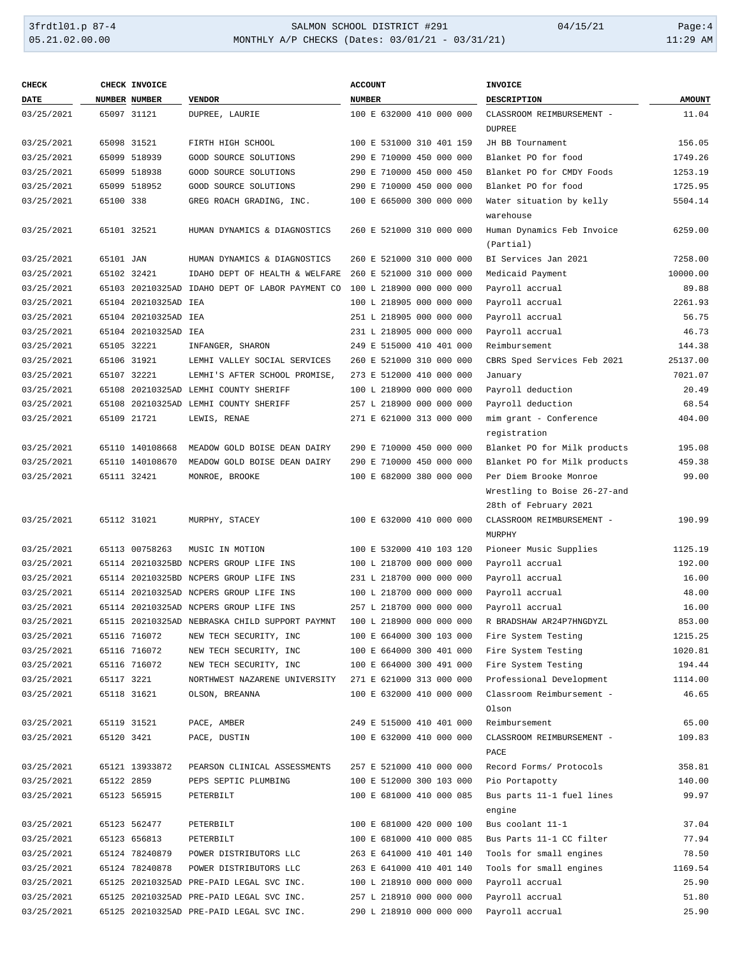### 3frdtl01.p 87-4 SALMON SCHOOL DISTRICT #291 04/15/21 Page:4 05.21.02.00.00 MONTHLY A/P CHECKS (Dates: 03/01/21 - 03/31/21) 11:29 AM

| <b>CHECK</b> |            | CHECK INVOICE        |                                                 | <b>ACCOUNT</b>           | <b>INVOICE</b>                          |               |
|--------------|------------|----------------------|-------------------------------------------------|--------------------------|-----------------------------------------|---------------|
| <b>DATE</b>  |            | NUMBER NUMBER        | <b>VENDOR</b>                                   | <b>NUMBER</b>            | <b>DESCRIPTION</b>                      | <b>AMOUNT</b> |
| 03/25/2021   |            | 65097 31121          | DUPREE, LAURIE                                  | 100 E 632000 410 000 000 | CLASSROOM REIMBURSEMENT -               | 11.04         |
|              |            |                      |                                                 |                          | <b>DUPREE</b>                           |               |
| 03/25/2021   |            | 65098 31521          | FIRTH HIGH SCHOOL                               | 100 E 531000 310 401 159 | JH BB Tournament                        | 156.05        |
| 03/25/2021   |            | 65099 518939         | GOOD SOURCE SOLUTIONS                           | 290 E 710000 450 000 000 | Blanket PO for food                     | 1749.26       |
| 03/25/2021   |            | 65099 518938         | GOOD SOURCE SOLUTIONS                           | 290 E 710000 450 000 450 | Blanket PO for CMDY Foods               | 1253.19       |
| 03/25/2021   |            | 65099 518952         | GOOD SOURCE SOLUTIONS                           | 290 E 710000 450 000 000 | Blanket PO for food                     | 1725.95       |
| 03/25/2021   | 65100 338  |                      | GREG ROACH GRADING, INC.                        | 100 E 665000 300 000 000 | Water situation by kelly<br>warehouse   | 5504.14       |
| 03/25/2021   |            | 65101 32521          | HUMAN DYNAMICS & DIAGNOSTICS                    | 260 E 521000 310 000 000 | Human Dynamics Feb Invoice<br>(Partial) | 6259.00       |
| 03/25/2021   | 65101 JAN  |                      | HUMAN DYNAMICS & DIAGNOSTICS                    | 260 E 521000 310 000 000 | BI Services Jan 2021                    | 7258.00       |
| 03/25/2021   |            | 65102 32421          | IDAHO DEPT OF HEALTH & WELFARE                  | 260 E 521000 310 000 000 | Medicaid Payment                        | 10000.00      |
| 03/25/2021   |            |                      | 65103 20210325AD IDAHO DEPT OF LABOR PAYMENT CO | 100 L 218900 000 000 000 | Payroll accrual                         | 89.88         |
| 03/25/2021   |            | 65104 20210325AD IEA |                                                 | 100 L 218905 000 000 000 | Payroll accrual                         | 2261.93       |
| 03/25/2021   |            | 65104 20210325AD IEA |                                                 | 251 L 218905 000 000 000 | Payroll accrual                         | 56.75         |
| 03/25/2021   |            | 65104 20210325AD IEA |                                                 | 231 L 218905 000 000 000 | Payroll accrual                         | 46.73         |
| 03/25/2021   |            | 65105 32221          | INFANGER, SHARON                                | 249 E 515000 410 401 000 | Reimbursement                           | 144.38        |
| 03/25/2021   |            | 65106 31921          | LEMHI VALLEY SOCIAL SERVICES                    | 260 E 521000 310 000 000 | CBRS Sped Services Feb 2021             | 25137.00      |
| 03/25/2021   |            | 65107 32221          | LEMHI'S AFTER SCHOOL PROMISE,                   | 273 E 512000 410 000 000 | January                                 | 7021.07       |
| 03/25/2021   |            |                      | 65108 20210325AD LEMHI COUNTY SHERIFF           | 100 L 218900 000 000 000 | Payroll deduction                       | 20.49         |
| 03/25/2021   |            |                      | 65108 20210325AD LEMHI COUNTY SHERIFF           | 257 L 218900 000 000 000 | Payroll deduction                       | 68.54         |
| 03/25/2021   |            | 65109 21721          | LEWIS, RENAE                                    | 271 E 621000 313 000 000 | mim grant - Conference                  | 404.00        |
|              |            |                      |                                                 |                          |                                         |               |
|              |            |                      |                                                 |                          | registration                            |               |
| 03/25/2021   |            | 65110 140108668      | MEADOW GOLD BOISE DEAN DAIRY                    | 290 E 710000 450 000 000 | Blanket PO for Milk products            | 195.08        |
| 03/25/2021   |            | 65110 140108670      | MEADOW GOLD BOISE DEAN DAIRY                    | 290 E 710000 450 000 000 | Blanket PO for Milk products            | 459.38        |
| 03/25/2021   |            | 65111 32421          | MONROE, BROOKE                                  | 100 E 682000 380 000 000 | Per Diem Brooke Monroe                  | 99.00         |
|              |            |                      |                                                 |                          | Wrestling to Boise 26-27-and            |               |
|              |            |                      |                                                 |                          | 28th of February 2021                   |               |
| 03/25/2021   |            | 65112 31021          | MURPHY, STACEY                                  | 100 E 632000 410 000 000 | CLASSROOM REIMBURSEMENT -<br>MURPHY     | 190.99        |
| 03/25/2021   |            | 65113 00758263       | MUSIC IN MOTION                                 | 100 E 532000 410 103 120 | Pioneer Music Supplies                  | 1125.19       |
| 03/25/2021   |            |                      | 65114 20210325BD NCPERS GROUP LIFE INS          | 100 L 218700 000 000 000 | Payroll accrual                         | 192.00        |
| 03/25/2021   |            |                      | 65114 20210325BD NCPERS GROUP LIFE INS          | 231 L 218700 000 000 000 | Payroll accrual                         | 16.00         |
| 03/25/2021   |            |                      | 65114 20210325AD NCPERS GROUP LIFE INS          | 100 L 218700 000 000 000 | Payroll accrual                         | 48.00         |
| 03/25/2021   |            |                      | 65114 20210325AD NCPERS GROUP LIFE INS          | 257 L 218700 000 000 000 | Payroll accrual                         | 16.00         |
| 03/25/2021   |            |                      | 65115 20210325AD NEBRASKA CHILD SUPPORT PAYMNT  | 100 L 218900 000 000 000 | R BRADSHAW AR24P7HNGDYZL                | 853.00        |
| 03/25/2021   |            | 65116 716072         | NEW TECH SECURITY, INC                          | 100 E 664000 300 103 000 | Fire System Testing                     | 1215.25       |
| 03/25/2021   |            | 65116 716072         | NEW TECH SECURITY, INC                          | 100 E 664000 300 401 000 | Fire System Testing                     | 1020.81       |
| 03/25/2021   |            | 65116 716072         | NEW TECH SECURITY, INC                          | 100 E 664000 300 491 000 | Fire System Testing                     | 194.44        |
| 03/25/2021   | 65117 3221 |                      | NORTHWEST NAZARENE UNIVERSITY                   | 271 E 621000 313 000 000 | Professional Development                | 1114.00       |
| 03/25/2021   |            | 65118 31621          | OLSON, BREANNA                                  | 100 E 632000 410 000 000 | Classroom Reimbursement -<br>Olson      | 46.65         |
| 03/25/2021   |            | 65119 31521          | PACE, AMBER                                     | 249 E 515000 410 401 000 | Reimbursement                           | 65.00         |
| 03/25/2021   | 65120 3421 |                      | PACE, DUSTIN                                    | 100 E 632000 410 000 000 | CLASSROOM REIMBURSEMENT -               | 109.83        |
|              |            |                      |                                                 |                          | PACE                                    |               |
| 03/25/2021   |            | 65121 13933872       | PEARSON CLINICAL ASSESSMENTS                    | 257 E 521000 410 000 000 | Record Forms/ Protocols                 | 358.81        |
|              |            |                      |                                                 |                          |                                         |               |
| 03/25/2021   | 65122 2859 |                      | PEPS SEPTIC PLUMBING                            | 100 E 512000 300 103 000 | Pio Portapotty                          | 140.00        |
| 03/25/2021   |            | 65123 565915         | PETERBILT                                       | 100 E 681000 410 000 085 | Bus parts 11-1 fuel lines<br>engine     | 99.97         |
| 03/25/2021   |            | 65123 562477         | PETERBILT                                       | 100 E 681000 420 000 100 | Bus coolant 11-1                        | 37.04         |
| 03/25/2021   |            | 65123 656813         | PETERBILT                                       | 100 E 681000 410 000 085 | Bus Parts 11-1 CC filter                | 77.94         |
| 03/25/2021   |            | 65124 78240879       | POWER DISTRIBUTORS LLC                          | 263 E 641000 410 401 140 | Tools for small engines                 | 78.50         |
| 03/25/2021   |            | 65124 78240878       | POWER DISTRIBUTORS LLC                          | 263 E 641000 410 401 140 | Tools for small engines                 | 1169.54       |
| 03/25/2021   |            |                      | 65125 20210325AD PRE-PAID LEGAL SVC INC.        | 100 L 218910 000 000 000 | Payroll accrual                         | 25.90         |
| 03/25/2021   |            |                      | 65125 20210325AD PRE-PAID LEGAL SVC INC.        | 257 L 218910 000 000 000 | Payroll accrual                         | 51.80         |
| 03/25/2021   |            |                      | 65125 20210325AD PRE-PAID LEGAL SVC INC.        | 290 L 218910 000 000 000 | Payroll accrual                         | 25.90         |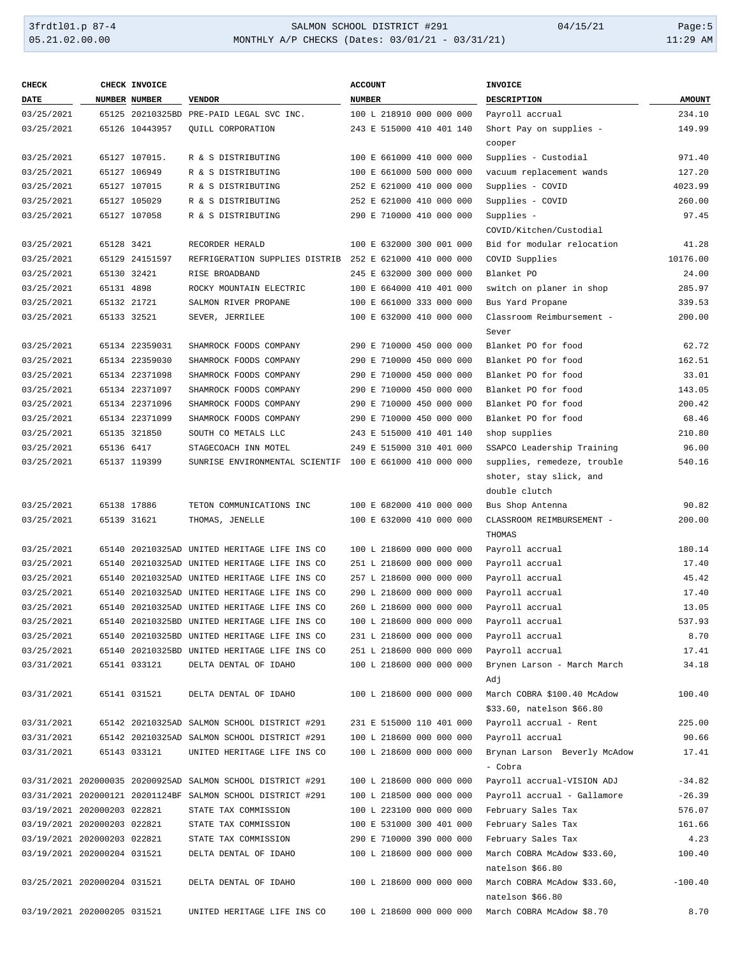## 3frdtl01.p 87-4 SALMON SCHOOL DISTRICT #291 04/15/21 Page:5 05.21.02.00.00 MONTHLY A/P CHECKS (Dates: 03/01/21 - 03/31/21) 11:29 AM

| <b>CHECK</b>                |            | CHECK INVOICE  |                                                             | <b>ACCOUNT</b>           | <b>INVOICE</b>                     |               |
|-----------------------------|------------|----------------|-------------------------------------------------------------|--------------------------|------------------------------------|---------------|
| DATE                        |            | NUMBER NUMBER  | <b>VENDOR</b>                                               | <b>NUMBER</b>            | DESCRIPTION                        | <b>AMOUNT</b> |
| 03/25/2021                  |            |                | 65125 20210325BD PRE-PAID LEGAL SVC INC.                    | 100 L 218910 000 000 000 | Payroll accrual                    | 234.10        |
| 03/25/2021                  |            | 65126 10443957 | QUILL CORPORATION                                           | 243 E 515000 410 401 140 | Short Pay on supplies -            | 149.99        |
|                             |            |                |                                                             |                          | cooper                             |               |
| 03/25/2021                  |            | 65127 107015.  | R & S DISTRIBUTING                                          | 100 E 661000 410 000 000 | Supplies - Custodial               | 971.40        |
| 03/25/2021                  |            | 65127 106949   | R & S DISTRIBUTING                                          | 100 E 661000 500 000 000 | vacuum replacement wands           | 127.20        |
| 03/25/2021                  |            | 65127 107015   | R & S DISTRIBUTING                                          | 252 E 621000 410 000 000 | Supplies - COVID                   | 4023.99       |
| 03/25/2021                  |            | 65127 105029   | R & S DISTRIBUTING                                          | 252 E 621000 410 000 000 | Supplies - COVID                   | 260.00        |
| 03/25/2021                  |            | 65127 107058   | R & S DISTRIBUTING                                          | 290 E 710000 410 000 000 | Supplies -                         | 97.45         |
|                             |            |                |                                                             |                          | COVID/Kitchen/Custodial            |               |
| 03/25/2021                  | 65128 3421 |                | RECORDER HERALD                                             | 100 E 632000 300 001 000 | Bid for modular relocation         | 41.28         |
| 03/25/2021                  |            | 65129 24151597 | REFRIGERATION SUPPLIES DISTRIB 252 E 621000 410 000 000     |                          | COVID Supplies                     | 10176.00      |
| 03/25/2021                  |            | 65130 32421    | RISE BROADBAND                                              | 245 E 632000 300 000 000 | Blanket PO                         | 24.00         |
| 03/25/2021                  | 65131 4898 |                | ROCKY MOUNTAIN ELECTRIC                                     | 100 E 664000 410 401 000 | switch on planer in shop           | 285.97        |
| 03/25/2021                  |            | 65132 21721    | SALMON RIVER PROPANE                                        | 100 E 661000 333 000 000 | Bus Yard Propane                   | 339.53        |
| 03/25/2021                  |            | 65133 32521    | SEVER, JERRILEE                                             | 100 E 632000 410 000 000 | Classroom Reimbursement -          | 200.00        |
|                             |            |                |                                                             |                          | Sever                              |               |
| 03/25/2021                  |            | 65134 22359031 | SHAMROCK FOODS COMPANY                                      | 290 E 710000 450 000 000 | Blanket PO for food                | 62.72         |
| 03/25/2021                  |            | 65134 22359030 | SHAMROCK FOODS COMPANY                                      | 290 E 710000 450 000 000 | Blanket PO for food                | 162.51        |
| 03/25/2021                  |            | 65134 22371098 | SHAMROCK FOODS COMPANY                                      | 290 E 710000 450 000 000 | Blanket PO for food                | 33.01         |
| 03/25/2021                  |            | 65134 22371097 | SHAMROCK FOODS COMPANY                                      | 290 E 710000 450 000 000 | Blanket PO for food                | 143.05        |
| 03/25/2021                  |            | 65134 22371096 | SHAMROCK FOODS COMPANY                                      | 290 E 710000 450 000 000 | Blanket PO for food                | 200.42        |
| 03/25/2021                  |            | 65134 22371099 | SHAMROCK FOODS COMPANY                                      | 290 E 710000 450 000 000 | Blanket PO for food                | 68.46         |
| 03/25/2021                  |            | 65135 321850   | SOUTH CO METALS LLC                                         | 243 E 515000 410 401 140 | shop supplies                      | 210.80        |
| 03/25/2021                  | 65136 6417 |                | STAGECOACH INN MOTEL                                        | 249 E 515000 310 401 000 | SSAPCO Leadership Training         | 96.00         |
| 03/25/2021                  |            | 65137 119399   | SUNRISE ENVIRONMENTAL SCIENTIF 100 E 661000 410 000 000     |                          | supplies, remedeze, trouble        | 540.16        |
|                             |            |                |                                                             |                          | shoter, stay slick, and            |               |
|                             |            |                |                                                             |                          | double clutch                      |               |
| 03/25/2021                  |            | 65138 17886    | TETON COMMUNICATIONS INC                                    | 100 E 682000 410 000 000 | Bus Shop Antenna                   | 90.82         |
| 03/25/2021                  |            | 65139 31621    | THOMAS, JENELLE                                             | 100 E 632000 410 000 000 | CLASSROOM REIMBURSEMENT -          | 200.00        |
|                             |            |                |                                                             |                          | THOMAS                             |               |
| 03/25/2021                  |            |                | 65140 20210325AD UNITED HERITAGE LIFE INS CO                | 100 L 218600 000 000 000 | Payroll accrual                    | 180.14        |
| 03/25/2021                  |            |                | 65140 20210325AD UNITED HERITAGE LIFE INS CO                | 251 L 218600 000 000 000 | Payroll accrual                    | 17.40         |
| 03/25/2021                  |            |                | 65140 20210325AD UNITED HERITAGE LIFE INS CO                | 257 L 218600 000 000 000 | Payroll accrual                    | 45.42         |
| 03/25/2021                  |            |                | 65140 20210325AD UNITED HERITAGE LIFE INS CO                | 290 L 218600 000 000 000 | Payroll accrual                    | 17.40         |
| 03/25/2021                  |            |                | 65140 20210325AD UNITED HERITAGE LIFE INS CO                | 260 L 218600 000 000 000 | Payroll accrual                    | 13.05         |
| 03/25/2021                  | 65140      |                | 20210325BD UNITED HERITAGE LIFE INS CO                      | 100 L 218600 000 000 000 | Payroll accrual                    | 537.93        |
| 03/25/2021                  |            |                | 65140 20210325BD UNITED HERITAGE LIFE INS CO                | 231 L 218600 000 000 000 | Payroll accrual                    | 8.70          |
| 03/25/2021                  |            |                | 65140 20210325BD UNITED HERITAGE LIFE INS CO                | 251 L 218600 000 000 000 | Payroll accrual                    | 17.41         |
| 03/31/2021                  |            | 65141 033121   | DELTA DENTAL OF IDAHO                                       | 100 L 218600 000 000 000 | Brynen Larson - March March<br>Adj | 34.18         |
| 03/31/2021                  |            | 65141 031521   | DELTA DENTAL OF IDAHO                                       | 100 L 218600 000 000 000 | March COBRA \$100.40 McAdow        | 100.40        |
|                             |            |                |                                                             |                          | \$33.60, natelson \$66.80          |               |
| 03/31/2021                  |            |                | 65142 20210325AD SALMON SCHOOL DISTRICT #291                | 231 E 515000 110 401 000 | Payroll accrual - Rent             | 225.00        |
| 03/31/2021                  |            |                | 65142 20210325AD SALMON SCHOOL DISTRICT #291                | 100 L 218600 000 000 000 | Payroll accrual                    | 90.66         |
| 03/31/2021                  |            | 65143 033121   | UNITED HERITAGE LIFE INS CO                                 | 100 L 218600 000 000 000 | Brynan Larson Beverly McAdow       | 17.41         |
|                             |            |                |                                                             |                          | - Cobra                            |               |
|                             |            |                | 03/31/2021 202000035 20200925AD SALMON SCHOOL DISTRICT #291 | 100 L 218600 000 000 000 | Payroll accrual-VISION ADJ         | $-34.82$      |
|                             |            |                | 03/31/2021 202000121 20201124BF SALMON SCHOOL DISTRICT #291 | 100 L 218500 000 000 000 | Payroll accrual - Gallamore        | $-26.39$      |
| 03/19/2021 202000203 022821 |            |                | STATE TAX COMMISSION                                        | 100 L 223100 000 000 000 | February Sales Tax                 | 576.07        |
| 03/19/2021 202000203 022821 |            |                | STATE TAX COMMISSION                                        | 100 E 531000 300 401 000 | February Sales Tax                 | 161.66        |
| 03/19/2021 202000203 022821 |            |                | STATE TAX COMMISSION                                        | 290 E 710000 390 000 000 | February Sales Tax                 | 4.23          |
| 03/19/2021 202000204 031521 |            |                | DELTA DENTAL OF IDAHO                                       | 100 L 218600 000 000 000 | March COBRA McAdow \$33.60,        | 100.40        |
|                             |            |                |                                                             |                          | natelson \$66.80                   |               |
| 03/25/2021 202000204 031521 |            |                | DELTA DENTAL OF IDAHO                                       | 100 L 218600 000 000 000 | March COBRA McAdow \$33.60,        | $-100.40$     |
|                             |            |                |                                                             |                          | natelson \$66.80                   |               |
| 03/19/2021 202000205 031521 |            |                | UNITED HERITAGE LIFE INS CO                                 | 100 L 218600 000 000 000 | March COBRA McAdow \$8.70          | 8.70          |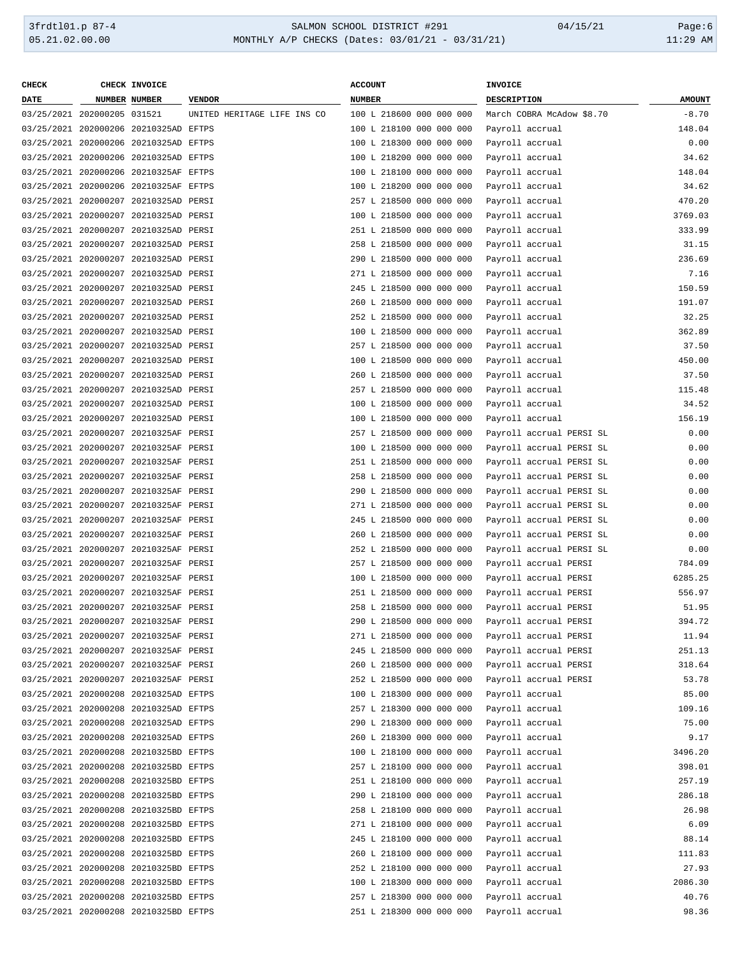| <b>CHECK</b>                |               | CHECK INVOICE                         |                             | <b>ACCOUNT</b>           | INVOICE                   |               |
|-----------------------------|---------------|---------------------------------------|-----------------------------|--------------------------|---------------------------|---------------|
| <b>DATE</b>                 | NUMBER NUMBER |                                       | <b>VENDOR</b>               | <b>NUMBER</b>            | DESCRIPTION               | <b>AMOUNT</b> |
| 03/25/2021 202000205 031521 |               |                                       | UNITED HERITAGE LIFE INS CO | 100 L 218600 000 000 000 | March COBRA McAdow \$8.70 | $-8.70$       |
|                             |               | 03/25/2021 202000206 20210325AD EFTPS |                             | 100 L 218100 000 000 000 | Payroll accrual           | 148.04        |
|                             |               | 03/25/2021 202000206 20210325AD EFTPS |                             | 100 L 218300 000 000 000 | Payroll accrual           | 0.00          |
|                             |               | 03/25/2021 202000206 20210325AD EFTPS |                             | 100 L 218200 000 000 000 | Payroll accrual           | 34.62         |
|                             |               | 03/25/2021 202000206 20210325AF EFTPS |                             | 100 L 218100 000 000 000 | Payroll accrual           | 148.04        |
|                             |               | 03/25/2021 202000206 20210325AF EFTPS |                             | 100 L 218200 000 000 000 | Payroll accrual           | 34.62         |
|                             |               | 03/25/2021 202000207 20210325AD PERSI |                             | 257 L 218500 000 000 000 | Payroll accrual           | 470.20        |
|                             |               | 03/25/2021 202000207 20210325AD PERSI |                             | 100 L 218500 000 000 000 | Payroll accrual           | 3769.03       |
|                             |               | 03/25/2021 202000207 20210325AD PERSI |                             | 251 L 218500 000 000 000 | Payroll accrual           | 333.99        |
|                             |               | 03/25/2021 202000207 20210325AD PERSI |                             | 258 L 218500 000 000 000 | Payroll accrual           | 31.15         |
|                             |               | 03/25/2021 202000207 20210325AD PERSI |                             | 290 L 218500 000 000 000 | Payroll accrual           | 236.69        |
|                             |               | 03/25/2021 202000207 20210325AD PERSI |                             | 271 L 218500 000 000 000 | Payroll accrual           | 7.16          |
|                             |               | 03/25/2021 202000207 20210325AD PERSI |                             | 245 L 218500 000 000 000 | Payroll accrual           | 150.59        |
|                             |               | 03/25/2021 202000207 20210325AD PERSI |                             | 260 L 218500 000 000 000 | Payroll accrual           | 191.07        |
|                             |               | 03/25/2021 202000207 20210325AD PERSI |                             | 252 L 218500 000 000 000 | Payroll accrual           | 32.25         |
|                             |               | 03/25/2021 202000207 20210325AD PERSI |                             | 100 L 218500 000 000 000 | Payroll accrual           | 362.89        |
|                             |               | 03/25/2021 202000207 20210325AD PERSI |                             | 257 L 218500 000 000 000 | Payroll accrual           | 37.50         |
|                             |               | 03/25/2021 202000207 20210325AD PERSI |                             | 100 L 218500 000 000 000 |                           | 450.00        |
|                             |               | 03/25/2021 202000207 20210325AD PERSI |                             |                          | Payroll accrual           |               |
|                             |               |                                       |                             | 260 L 218500 000 000 000 | Payroll accrual           | 37.50         |
|                             |               | 03/25/2021 202000207 20210325AD PERSI |                             | 257 L 218500 000 000 000 | Payroll accrual           | 115.48        |
|                             |               | 03/25/2021 202000207 20210325AD PERSI |                             | 100 L 218500 000 000 000 | Payroll accrual           | 34.52         |
|                             |               | 03/25/2021 202000207 20210325AD PERSI |                             | 100 L 218500 000 000 000 | Payroll accrual           | 156.19        |
|                             |               | 03/25/2021 202000207 20210325AF PERSI |                             | 257 L 218500 000 000 000 | Payroll accrual PERSI SL  | 0.00          |
|                             |               | 03/25/2021 202000207 20210325AF PERSI |                             | 100 L 218500 000 000 000 | Payroll accrual PERSI SL  | 0.00          |
|                             |               | 03/25/2021 202000207 20210325AF PERSI |                             | 251 L 218500 000 000 000 | Payroll accrual PERSI SL  | 0.00          |
|                             |               | 03/25/2021 202000207 20210325AF PERSI |                             | 258 L 218500 000 000 000 | Payroll accrual PERSI SL  | 0.00          |
|                             |               | 03/25/2021 202000207 20210325AF PERSI |                             | 290 L 218500 000 000 000 | Payroll accrual PERSI SL  | 0.00          |
|                             |               | 03/25/2021 202000207 20210325AF PERSI |                             | 271 L 218500 000 000 000 | Payroll accrual PERSI SL  | 0.00          |
|                             |               | 03/25/2021 202000207 20210325AF PERSI |                             | 245 L 218500 000 000 000 | Payroll accrual PERSI SL  | 0.00          |
|                             |               | 03/25/2021 202000207 20210325AF PERSI |                             | 260 L 218500 000 000 000 | Payroll accrual PERSI SL  | 0.00          |
|                             |               | 03/25/2021 202000207 20210325AF PERSI |                             | 252 L 218500 000 000 000 | Payroll accrual PERSI SL  | 0.00          |
|                             |               | 03/25/2021 202000207 20210325AF PERSI |                             | 257 L 218500 000 000 000 | Payroll accrual PERSI     | 784.09        |
|                             |               | 03/25/2021 202000207 20210325AF PERSI |                             | 100 L 218500 000 000 000 | Payroll accrual PERSI     | 6285.25       |
|                             |               | 03/25/2021 202000207 20210325AF PERSI |                             | 251 L 218500 000 000 000 | Payroll accrual PERSI     | 556.97        |
|                             |               | 03/25/2021 202000207 20210325AF PERSI |                             | 258 L 218500 000 000 000 | Payroll accrual PERSI     | 51.95         |
|                             |               | 03/25/2021 202000207 20210325AF PERSI |                             | 290 L 218500 000 000 000 | Payroll accrual PERSI     | 394.72        |
|                             |               | 03/25/2021 202000207 20210325AF PERSI |                             | 271 L 218500 000 000 000 | Payroll accrual PERSI     | 11.94         |
|                             |               | 03/25/2021 202000207 20210325AF PERSI |                             | 245 L 218500 000 000 000 | Payroll accrual PERSI     | 251.13        |
|                             |               | 03/25/2021 202000207 20210325AF PERSI |                             | 260 L 218500 000 000 000 | Payroll accrual PERSI     | 318.64        |
|                             |               | 03/25/2021 202000207 20210325AF PERSI |                             | 252 L 218500 000 000 000 | Payroll accrual PERSI     | 53.78         |
|                             |               | 03/25/2021 202000208 20210325AD EFTPS |                             | 100 L 218300 000 000 000 | Payroll accrual           | 85.00         |
|                             |               | 03/25/2021 202000208 20210325AD EFTPS |                             | 257 L 218300 000 000 000 | Payroll accrual           | 109.16        |
|                             |               | 03/25/2021 202000208 20210325AD EFTPS |                             | 290 L 218300 000 000 000 | Payroll accrual           | 75.00         |
|                             |               | 03/25/2021 202000208 20210325AD EFTPS |                             | 260 L 218300 000 000 000 | Payroll accrual           | 9.17          |
|                             |               | 03/25/2021 202000208 20210325BD EFTPS |                             | 100 L 218100 000 000 000 | Payroll accrual           | 3496.20       |
|                             |               | 03/25/2021 202000208 20210325BD EFTPS |                             | 257 L 218100 000 000 000 | Payroll accrual           | 398.01        |
|                             |               | 03/25/2021 202000208 20210325BD EFTPS |                             | 251 L 218100 000 000 000 | Payroll accrual           | 257.19        |
|                             |               | 03/25/2021 202000208 20210325BD EFTPS |                             | 290 L 218100 000 000 000 | Payroll accrual           | 286.18        |
|                             |               | 03/25/2021 202000208 20210325BD EFTPS |                             | 258 L 218100 000 000 000 | Payroll accrual           | 26.98         |
|                             |               | 03/25/2021 202000208 20210325BD EFTPS |                             | 271 L 218100 000 000 000 | Payroll accrual           | 6.09          |
|                             |               | 03/25/2021 202000208 20210325BD EFTPS |                             | 245 L 218100 000 000 000 | Payroll accrual           | 88.14         |
|                             |               | 03/25/2021 202000208 20210325BD EFTPS |                             | 260 L 218100 000 000 000 |                           | 111.83        |
|                             |               | 03/25/2021 202000208 20210325BD EFTPS |                             | 252 L 218100 000 000 000 | Payroll accrual           | 27.93         |
|                             |               |                                       |                             |                          | Payroll accrual           |               |
|                             |               | 03/25/2021 202000208 20210325BD EFTPS |                             | 100 L 218300 000 000 000 | Payroll accrual           | 2086.30       |
|                             |               | 03/25/2021 202000208 20210325BD EFTPS |                             | 257 L 218300 000 000 000 | Payroll accrual           | 40.76         |
|                             |               | 03/25/2021 202000208 20210325BD EFTPS |                             | 251 L 218300 000 000 000 | Payroll accrual           | 98.36         |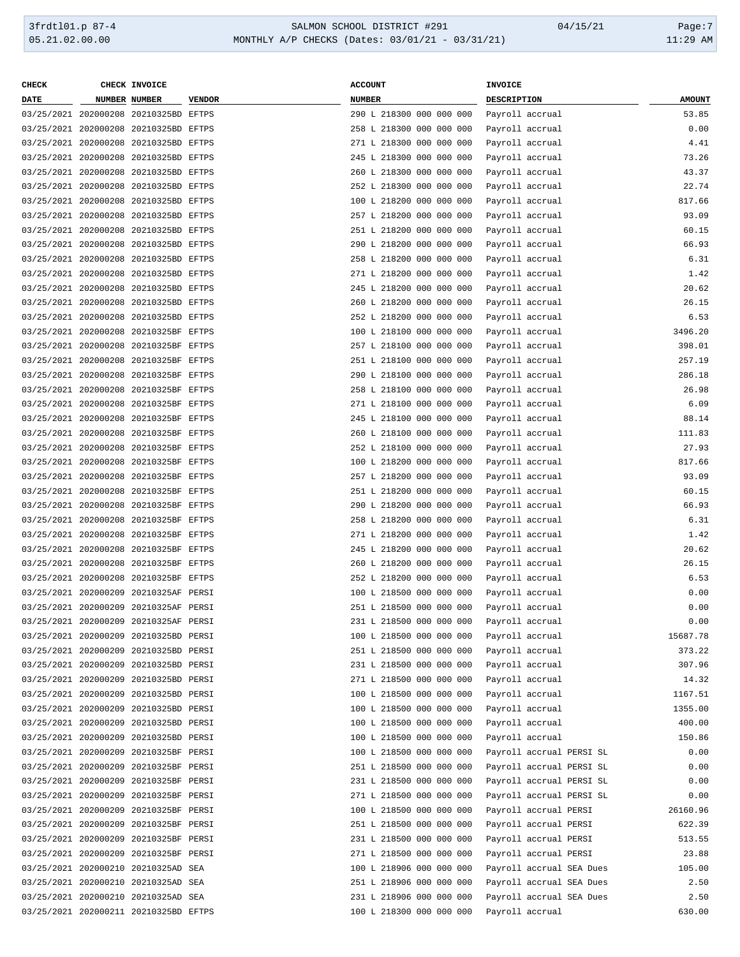#### 3frdtl01.p 87-4 SALMON SCHOOL DISTRICT #291 04/15/21 Page:7 05.21.02.00.00 MONTHLY A/P CHECKS (Dates: 03/01/21 - 03/31/21) 11:29 AM

| <b>CHECK</b> | CHECK INVOICE                         |               | <b>ACCOUNT</b>           | INVOICE               |                          |               |
|--------------|---------------------------------------|---------------|--------------------------|-----------------------|--------------------------|---------------|
| <b>DATE</b>  | NUMBER NUMBER                         | <b>VENDOR</b> | <b>NUMBER</b>            | DESCRIPTION           |                          | <b>AMOUNT</b> |
|              | 03/25/2021 202000208 20210325BD EFTPS |               | 290 L 218300 000 000 000 | Payroll accrual       |                          | 53.85         |
|              | 03/25/2021 202000208 20210325BD EFTPS |               | 258 L 218300 000 000 000 | Payroll accrual       |                          | 0.00          |
|              | 03/25/2021 202000208 20210325BD EFTPS |               | 271 L 218300 000 000 000 | Payroll accrual       |                          | 4.41          |
|              | 03/25/2021 202000208 20210325BD EFTPS |               | 245 L 218300 000 000 000 | Payroll accrual       |                          | 73.26         |
|              | 03/25/2021 202000208 20210325BD EFTPS |               | 260 L 218300 000 000 000 | Payroll accrual       |                          | 43.37         |
|              | 03/25/2021 202000208 20210325BD EFTPS |               | 252 L 218300 000 000 000 |                       |                          | 22.74         |
|              |                                       |               |                          | Payroll accrual       |                          |               |
|              | 03/25/2021 202000208 20210325BD EFTPS |               | 100 L 218200 000 000 000 | Payroll accrual       |                          | 817.66        |
|              | 03/25/2021 202000208 20210325BD EFTPS |               | 257 L 218200 000 000 000 | Payroll accrual       |                          | 93.09         |
|              | 03/25/2021 202000208 20210325BD EFTPS |               | 251 L 218200 000 000 000 | Payroll accrual       |                          | 60.15         |
|              | 03/25/2021 202000208 20210325BD EFTPS |               | 290 L 218200 000 000 000 | Payroll accrual       |                          | 66.93         |
|              | 03/25/2021 202000208 20210325BD EFTPS |               | 258 L 218200 000 000 000 | Payroll accrual       |                          | 6.31          |
|              | 03/25/2021 202000208 20210325BD EFTPS |               | 271 L 218200 000 000 000 | Payroll accrual       |                          | 1.42          |
|              | 03/25/2021 202000208 20210325BD EFTPS |               | 245 L 218200 000 000 000 | Payroll accrual       |                          | 20.62         |
|              | 03/25/2021 202000208 20210325BD EFTPS |               | 260 L 218200 000 000 000 | Payroll accrual       |                          | 26.15         |
|              | 03/25/2021 202000208 20210325BD EFTPS |               | 252 L 218200 000 000 000 | Payroll accrual       |                          | 6.53          |
|              | 03/25/2021 202000208 20210325BF EFTPS |               | 100 L 218100 000 000 000 | Payroll accrual       |                          | 3496.20       |
|              | 03/25/2021 202000208 20210325BF EFTPS |               | 257 L 218100 000 000 000 | Payroll accrual       |                          | 398.01        |
|              | 03/25/2021 202000208 20210325BF EFTPS |               | 251 L 218100 000 000 000 | Payroll accrual       |                          | 257.19        |
|              | 03/25/2021 202000208 20210325BF EFTPS |               | 290 L 218100 000 000 000 | Payroll accrual       |                          | 286.18        |
|              | 03/25/2021 202000208 20210325BF EFTPS |               | 258 L 218100 000 000 000 | Payroll accrual       |                          | 26.98         |
|              | 03/25/2021 202000208 20210325BF EFTPS |               | 271 L 218100 000 000 000 | Payroll accrual       |                          | 6.09          |
|              | 03/25/2021 202000208 20210325BF EFTPS |               | 245 L 218100 000 000 000 | Payroll accrual       |                          | 88.14         |
|              |                                       |               |                          |                       |                          |               |
|              | 03/25/2021 202000208 20210325BF EFTPS |               | 260 L 218100 000 000 000 | Payroll accrual       |                          | 111.83        |
|              | 03/25/2021 202000208 20210325BF EFTPS |               | 252 L 218100 000 000 000 | Payroll accrual       |                          | 27.93         |
|              | 03/25/2021 202000208 20210325BF EFTPS |               | 100 L 218200 000 000 000 | Payroll accrual       |                          | 817.66        |
|              | 03/25/2021 202000208 20210325BF EFTPS |               | 257 L 218200 000 000 000 | Payroll accrual       |                          | 93.09         |
|              | 03/25/2021 202000208 20210325BF EFTPS |               | 251 L 218200 000 000 000 | Payroll accrual       |                          | 60.15         |
|              | 03/25/2021 202000208 20210325BF EFTPS |               | 290 L 218200 000 000 000 | Payroll accrual       |                          | 66.93         |
|              | 03/25/2021 202000208 20210325BF EFTPS |               | 258 L 218200 000 000 000 | Payroll accrual       |                          | 6.31          |
|              | 03/25/2021 202000208 20210325BF EFTPS |               | 271 L 218200 000 000 000 | Payroll accrual       |                          | 1.42          |
|              | 03/25/2021 202000208 20210325BF EFTPS |               | 245 L 218200 000 000 000 | Payroll accrual       |                          | 20.62         |
|              | 03/25/2021 202000208 20210325BF EFTPS |               | 260 L 218200 000 000 000 | Payroll accrual       |                          | 26.15         |
|              | 03/25/2021 202000208 20210325BF EFTPS |               | 252 L 218200 000 000 000 | Payroll accrual       |                          | 6.53          |
|              | 03/25/2021 202000209 20210325AF PERSI |               | 100 L 218500 000 000 000 | Payroll accrual       |                          | 0.00          |
|              | 03/25/2021 202000209 20210325AF PERSI |               | 251 L 218500 000 000 000 | Payroll accrual       |                          | 0.00          |
|              | 03/25/2021 202000209 20210325AF PERSI |               | 231 L 218500 000 000 000 | Payroll accrual       |                          | 0.00          |
|              | 03/25/2021 202000209 20210325BD PERSI |               | 100 L 218500 000 000 000 | Payroll accrual       |                          | 15687.78      |
|              | 03/25/2021 202000209 20210325BD PERSI |               | 251 L 218500 000 000 000 | Payroll accrual       |                          | 373.22        |
|              | 03/25/2021 202000209 20210325BD PERSI |               | 231 L 218500 000 000 000 | Payroll accrual       |                          | 307.96        |
|              |                                       |               |                          |                       |                          |               |
|              | 03/25/2021 202000209 20210325BD PERSI |               | 271 L 218500 000 000 000 | Payroll accrual       |                          | 14.32         |
|              | 03/25/2021 202000209 20210325BD PERSI |               | 100 L 218500 000 000 000 | Payroll accrual       |                          | 1167.51       |
|              | 03/25/2021 202000209 20210325BD PERSI |               | 100 L 218500 000 000 000 | Payroll accrual       |                          | 1355.00       |
|              | 03/25/2021 202000209 20210325BD PERSI |               | 100 L 218500 000 000 000 | Payroll accrual       |                          | 400.00        |
|              | 03/25/2021 202000209 20210325BD PERSI |               | 100 L 218500 000 000 000 | Payroll accrual       |                          | 150.86        |
|              | 03/25/2021 202000209 20210325BF PERSI |               | 100 L 218500 000 000 000 |                       | Payroll accrual PERSI SL | 0.00          |
|              | 03/25/2021 202000209 20210325BF PERSI |               | 251 L 218500 000 000 000 |                       | Payroll accrual PERSI SL | 0.00          |
|              | 03/25/2021 202000209 20210325BF PERSI |               | 231 L 218500 000 000 000 |                       | Payroll accrual PERSI SL | 0.00          |
|              | 03/25/2021 202000209 20210325BF PERSI |               | 271 L 218500 000 000 000 |                       | Payroll accrual PERSI SL | 0.00          |
|              | 03/25/2021 202000209 20210325BF PERSI |               | 100 L 218500 000 000 000 | Payroll accrual PERSI |                          | 26160.96      |
|              | 03/25/2021 202000209 20210325BF PERSI |               | 251 L 218500 000 000 000 | Payroll accrual PERSI |                          | 622.39        |
|              | 03/25/2021 202000209 20210325BF PERSI |               | 231 L 218500 000 000 000 | Payroll accrual PERSI |                          | 513.55        |
|              | 03/25/2021 202000209 20210325BF PERSI |               | 271 L 218500 000 000 000 | Payroll accrual PERSI |                          | 23.88         |
|              | 03/25/2021 202000210 20210325AD SEA   |               | 100 L 218906 000 000 000 |                       | Payroll accrual SEA Dues | 105.00        |
|              | 03/25/2021 202000210 20210325AD SEA   |               | 251 L 218906 000 000 000 |                       | Payroll accrual SEA Dues | 2.50          |
|              | 03/25/2021 202000210 20210325AD SEA   |               | 231 L 218906 000 000 000 |                       | Payroll accrual SEA Dues | 2.50          |
|              | 03/25/2021 202000211 20210325BD EFTPS |               | 100 L 218300 000 000 000 | Payroll accrual       |                          | 630.00        |
|              |                                       |               |                          |                       |                          |               |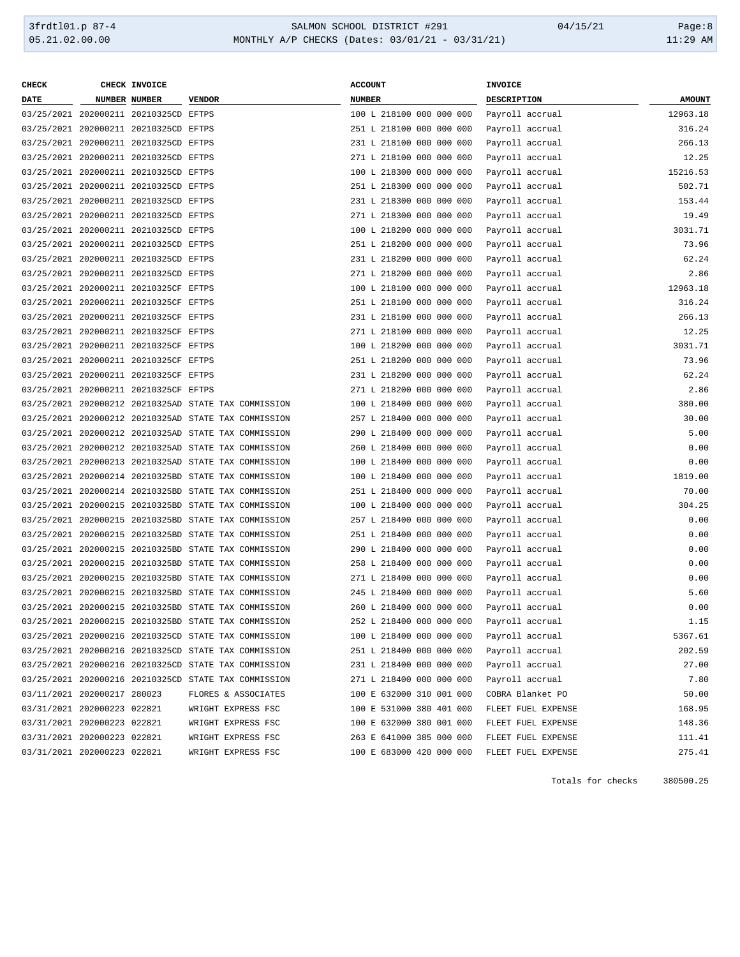## 3frdtl01.p 87-4 <br>
36.21.02.00.00 <br>
36.21.02.00.00 MONTHLY A/P CHECKS (Dates: 03/01/21 - 03/31/21) <br>
36.21.02.00.00 MONTHLY A/P CHECKS (Dates: 03/01/21 - 03/31/21) MONTHLY A/P CHECKS (Dates: 03/01/21 - 03/31/21)

| CHECK                       | CHECK INVOICE                         |                                                      | <b>ACCOUNT</b>           | <b>INVOICE</b>     |               |
|-----------------------------|---------------------------------------|------------------------------------------------------|--------------------------|--------------------|---------------|
| <b>DATE</b>                 | NUMBER NUMBER                         | <b>VENDOR</b>                                        | <b>NUMBER</b>            | <b>DESCRIPTION</b> | <b>AMOUNT</b> |
|                             | 03/25/2021 202000211 20210325CD EFTPS |                                                      | 100 L 218100 000 000 000 | Payroll accrual    | 12963.18      |
|                             | 03/25/2021 202000211 20210325CD EFTPS |                                                      | 251 L 218100 000 000 000 | Payroll accrual    | 316.24        |
|                             | 03/25/2021 202000211 20210325CD EFTPS |                                                      | 231 L 218100 000 000 000 | Payroll accrual    | 266.13        |
|                             | 03/25/2021 202000211 20210325CD EFTPS |                                                      | 271 L 218100 000 000 000 | Payroll accrual    | 12.25         |
|                             | 03/25/2021 202000211 20210325CD EFTPS |                                                      | 100 L 218300 000 000 000 | Payroll accrual    | 15216.53      |
|                             | 03/25/2021 202000211 20210325CD EFTPS |                                                      | 251 L 218300 000 000 000 | Payroll accrual    | 502.71        |
|                             | 03/25/2021 202000211 20210325CD EFTPS |                                                      | 231 L 218300 000 000 000 | Payroll accrual    | 153.44        |
|                             | 03/25/2021 202000211 20210325CD EFTPS |                                                      | 271 L 218300 000 000 000 | Payroll accrual    | 19.49         |
|                             | 03/25/2021 202000211 20210325CD EFTPS |                                                      | 100 L 218200 000 000 000 | Payroll accrual    | 3031.71       |
|                             | 03/25/2021 202000211 20210325CD EFTPS |                                                      | 251 L 218200 000 000 000 | Payroll accrual    | 73.96         |
|                             | 03/25/2021 202000211 20210325CD EFTPS |                                                      | 231 L 218200 000 000 000 | Payroll accrual    | 62.24         |
|                             | 03/25/2021 202000211 20210325CD EFTPS |                                                      | 271 L 218200 000 000 000 | Payroll accrual    | 2.86          |
|                             | 03/25/2021 202000211 20210325CF EFTPS |                                                      | 100 L 218100 000 000 000 | Payroll accrual    | 12963.18      |
|                             | 03/25/2021 202000211 20210325CF EFTPS |                                                      | 251 L 218100 000 000 000 | Payroll accrual    | 316.24        |
|                             | 03/25/2021 202000211 20210325CF EFTPS |                                                      | 231 L 218100 000 000 000 | Payroll accrual    | 266.13        |
|                             | 03/25/2021 202000211 20210325CF EFTPS |                                                      | 271 L 218100 000 000 000 | Payroll accrual    | 12.25         |
|                             | 03/25/2021 202000211 20210325CF EFTPS |                                                      | 100 L 218200 000 000 000 | Payroll accrual    | 3031.71       |
|                             | 03/25/2021 202000211 20210325CF EFTPS |                                                      | 251 L 218200 000 000 000 | Payroll accrual    | 73.96         |
|                             | 03/25/2021 202000211 20210325CF EFTPS |                                                      | 231 L 218200 000 000 000 | Payroll accrual    | 62.24         |
|                             | 03/25/2021 202000211 20210325CF EFTPS |                                                      | 271 L 218200 000 000 000 | Payroll accrual    | 2.86          |
|                             |                                       | 03/25/2021 202000212 20210325AD STATE TAX COMMISSION | 100 L 218400 000 000 000 | Payroll accrual    | 380.00        |
|                             |                                       | 03/25/2021 202000212 20210325AD STATE TAX COMMISSION | 257 L 218400 000 000 000 | Payroll accrual    | 30.00         |
|                             |                                       | 03/25/2021 202000212 20210325AD STATE TAX COMMISSION | 290 L 218400 000 000 000 | Payroll accrual    | 5.00          |
|                             |                                       | 03/25/2021 202000212 20210325AD STATE TAX COMMISSION | 260 L 218400 000 000 000 | Payroll accrual    | 0.00          |
|                             |                                       | 03/25/2021 202000213 20210325AD STATE TAX COMMISSION | 100 L 218400 000 000 000 | Payroll accrual    | 0.00          |
|                             |                                       | 03/25/2021 202000214 20210325BD STATE TAX COMMISSION | 100 L 218400 000 000 000 | Payroll accrual    | 1819.00       |
|                             |                                       | 03/25/2021 202000214 20210325BD STATE TAX COMMISSION | 251 L 218400 000 000 000 |                    | 70.00         |
|                             |                                       | 03/25/2021 202000215 20210325BD STATE TAX COMMISSION | 100 L 218400 000 000 000 | Payroll accrual    | 304.25        |
|                             |                                       |                                                      |                          | Payroll accrual    | 0.00          |
|                             |                                       | 03/25/2021 202000215 20210325BD STATE TAX COMMISSION | 257 L 218400 000 000 000 | Payroll accrual    |               |
|                             |                                       | 03/25/2021 202000215 20210325BD STATE TAX COMMISSION | 251 L 218400 000 000 000 | Payroll accrual    | 0.00          |
|                             |                                       | 03/25/2021 202000215 20210325BD STATE TAX COMMISSION | 290 L 218400 000 000 000 | Payroll accrual    | 0.00          |
|                             |                                       | 03/25/2021 202000215 20210325BD STATE TAX COMMISSION | 258 L 218400 000 000 000 | Payroll accrual    | 0.00          |
|                             |                                       | 03/25/2021 202000215 20210325BD STATE TAX COMMISSION | 271 L 218400 000 000 000 | Payroll accrual    | 0.00          |
|                             |                                       | 03/25/2021 202000215 20210325BD STATE TAX COMMISSION | 245 L 218400 000 000 000 | Payroll accrual    | 5.60          |
|                             |                                       | 03/25/2021 202000215 20210325BD STATE TAX COMMISSION | 260 L 218400 000 000 000 | Payroll accrual    | 0.00          |
|                             |                                       | 03/25/2021 202000215 20210325BD STATE TAX COMMISSION | 252 L 218400 000 000 000 | Payroll accrual    | 1.15          |
|                             |                                       | 03/25/2021 202000216 20210325CD STATE TAX COMMISSION | 100 L 218400 000 000 000 | Payroll accrual    | 5367.61       |
|                             |                                       | 03/25/2021 202000216 20210325CD STATE TAX COMMISSION | 251 L 218400 000 000 000 | Payroll accrual    | 202.59        |
|                             |                                       | 03/25/2021 202000216 20210325CD STATE TAX COMMISSION | 231 L 218400 000 000 000 | Payroll accrual    | 27.00         |
|                             |                                       | 03/25/2021 202000216 20210325CD STATE TAX COMMISSION | 271 L 218400 000 000 000 | Payroll accrual    | 7.80          |
| 03/11/2021 202000217 280023 |                                       | FLORES & ASSOCIATES                                  | 100 E 632000 310 001 000 | COBRA Blanket PO   | 50.00         |
|                             | 03/31/2021 202000223 022821           | WRIGHT EXPRESS FSC                                   | 100 E 531000 380 401 000 | FLEET FUEL EXPENSE | 168.95        |
| 03/31/2021 202000223 022821 |                                       | WRIGHT EXPRESS FSC                                   | 100 E 632000 380 001 000 | FLEET FUEL EXPENSE | 148.36        |
| 03/31/2021 202000223 022821 |                                       | WRIGHT EXPRESS FSC                                   | 263 E 641000 385 000 000 | FLEET FUEL EXPENSE | 111.41        |
| 03/31/2021 202000223 022821 |                                       | WRIGHT EXPRESS FSC                                   | 100 E 683000 420 000 000 | FLEET FUEL EXPENSE | 275.41        |
|                             |                                       |                                                      |                          |                    |               |

Totals for checks 380500.25